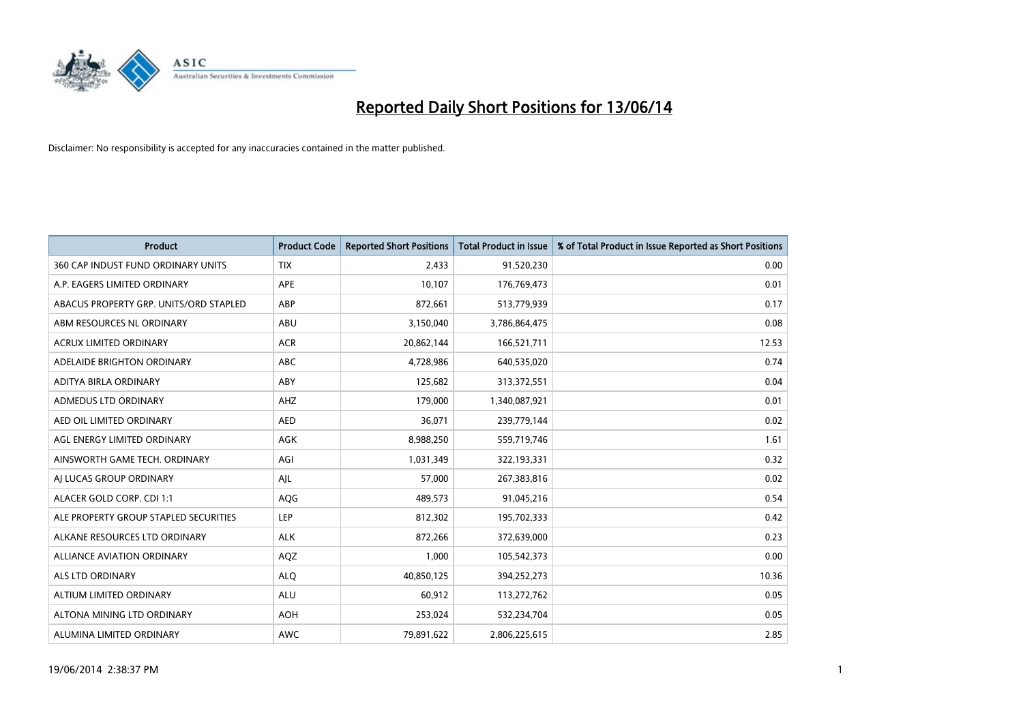

| <b>Product</b>                         | <b>Product Code</b> | <b>Reported Short Positions</b> | Total Product in Issue | % of Total Product in Issue Reported as Short Positions |
|----------------------------------------|---------------------|---------------------------------|------------------------|---------------------------------------------------------|
| 360 CAP INDUST FUND ORDINARY UNITS     | <b>TIX</b>          | 2,433                           | 91,520,230             | 0.00                                                    |
| A.P. EAGERS LIMITED ORDINARY           | APE                 | 10,107                          | 176,769,473            | 0.01                                                    |
| ABACUS PROPERTY GRP. UNITS/ORD STAPLED | ABP                 | 872,661                         | 513,779,939            | 0.17                                                    |
| ABM RESOURCES NL ORDINARY              | ABU                 | 3,150,040                       | 3,786,864,475          | 0.08                                                    |
| <b>ACRUX LIMITED ORDINARY</b>          | <b>ACR</b>          | 20,862,144                      | 166,521,711            | 12.53                                                   |
| ADELAIDE BRIGHTON ORDINARY             | <b>ABC</b>          | 4,728,986                       | 640,535,020            | 0.74                                                    |
| ADITYA BIRLA ORDINARY                  | ABY                 | 125,682                         | 313,372,551            | 0.04                                                    |
| ADMEDUS LTD ORDINARY                   | AHZ                 | 179,000                         | 1,340,087,921          | 0.01                                                    |
| AED OIL LIMITED ORDINARY               | <b>AED</b>          | 36,071                          | 239,779,144            | 0.02                                                    |
| AGL ENERGY LIMITED ORDINARY            | <b>AGK</b>          | 8,988,250                       | 559,719,746            | 1.61                                                    |
| AINSWORTH GAME TECH. ORDINARY          | AGI                 | 1,031,349                       | 322,193,331            | 0.32                                                    |
| AI LUCAS GROUP ORDINARY                | AJL                 | 57,000                          | 267,383,816            | 0.02                                                    |
| ALACER GOLD CORP. CDI 1:1              | AQG                 | 489,573                         | 91,045,216             | 0.54                                                    |
| ALE PROPERTY GROUP STAPLED SECURITIES  | <b>LEP</b>          | 812,302                         | 195,702,333            | 0.42                                                    |
| ALKANE RESOURCES LTD ORDINARY          | <b>ALK</b>          | 872,266                         | 372,639,000            | 0.23                                                    |
| ALLIANCE AVIATION ORDINARY             | AQZ                 | 1,000                           | 105,542,373            | 0.00                                                    |
| ALS LTD ORDINARY                       | <b>ALQ</b>          | 40,850,125                      | 394,252,273            | 10.36                                                   |
| ALTIUM LIMITED ORDINARY                | ALU                 | 60,912                          | 113,272,762            | 0.05                                                    |
| ALTONA MINING LTD ORDINARY             | <b>AOH</b>          | 253,024                         | 532,234,704            | 0.05                                                    |
| ALUMINA LIMITED ORDINARY               | <b>AWC</b>          | 79,891,622                      | 2,806,225,615          | 2.85                                                    |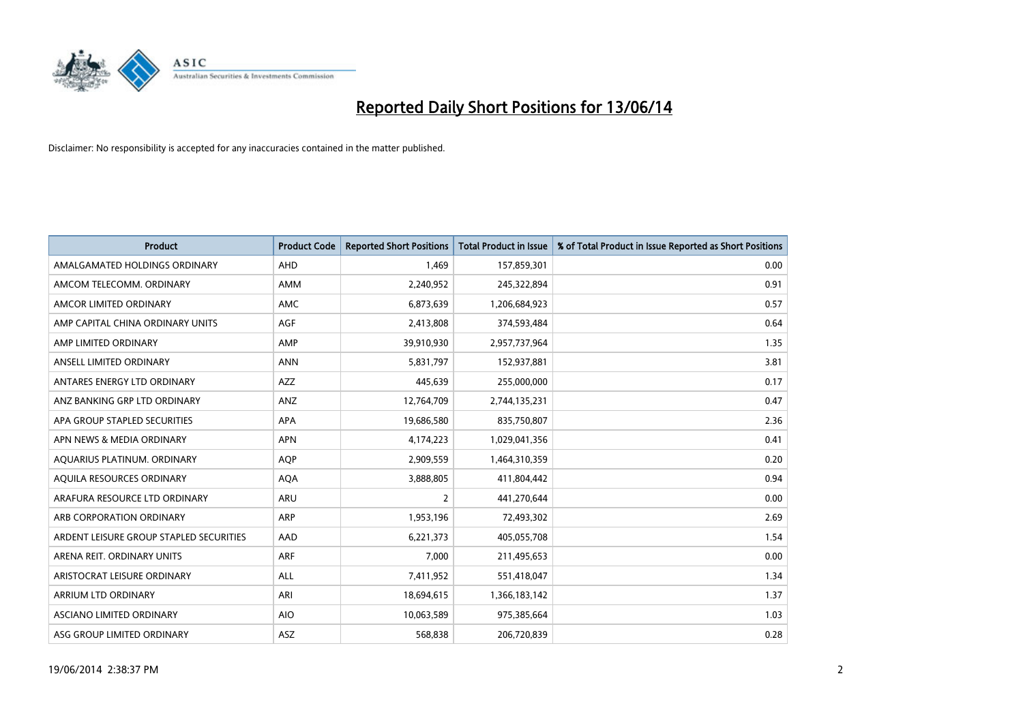

| <b>Product</b>                          | <b>Product Code</b> | <b>Reported Short Positions</b> | <b>Total Product in Issue</b> | % of Total Product in Issue Reported as Short Positions |
|-----------------------------------------|---------------------|---------------------------------|-------------------------------|---------------------------------------------------------|
| AMALGAMATED HOLDINGS ORDINARY           | AHD                 | 1,469                           | 157,859,301                   | 0.00                                                    |
| AMCOM TELECOMM. ORDINARY                | AMM                 | 2,240,952                       | 245,322,894                   | 0.91                                                    |
| AMCOR LIMITED ORDINARY                  | AMC                 | 6,873,639                       | 1,206,684,923                 | 0.57                                                    |
| AMP CAPITAL CHINA ORDINARY UNITS        | AGF                 | 2,413,808                       | 374,593,484                   | 0.64                                                    |
| AMP LIMITED ORDINARY                    | AMP                 | 39,910,930                      | 2,957,737,964                 | 1.35                                                    |
| ANSELL LIMITED ORDINARY                 | <b>ANN</b>          | 5,831,797                       | 152,937,881                   | 3.81                                                    |
| ANTARES ENERGY LTD ORDINARY             | AZZ                 | 445,639                         | 255,000,000                   | 0.17                                                    |
| ANZ BANKING GRP LTD ORDINARY            | ANZ                 | 12,764,709                      | 2,744,135,231                 | 0.47                                                    |
| APA GROUP STAPLED SECURITIES            | <b>APA</b>          | 19,686,580                      | 835,750,807                   | 2.36                                                    |
| APN NEWS & MEDIA ORDINARY               | <b>APN</b>          | 4,174,223                       | 1,029,041,356                 | 0.41                                                    |
| AQUARIUS PLATINUM. ORDINARY             | <b>AOP</b>          | 2,909,559                       | 1,464,310,359                 | 0.20                                                    |
| AQUILA RESOURCES ORDINARY               | <b>AQA</b>          | 3,888,805                       | 411,804,442                   | 0.94                                                    |
| ARAFURA RESOURCE LTD ORDINARY           | ARU                 | $\overline{2}$                  | 441,270,644                   | 0.00                                                    |
| ARB CORPORATION ORDINARY                | ARP                 | 1,953,196                       | 72,493,302                    | 2.69                                                    |
| ARDENT LEISURE GROUP STAPLED SECURITIES | AAD                 | 6,221,373                       | 405,055,708                   | 1.54                                                    |
| ARENA REIT. ORDINARY UNITS              | <b>ARF</b>          | 7,000                           | 211,495,653                   | 0.00                                                    |
| ARISTOCRAT LEISURE ORDINARY             | ALL                 | 7,411,952                       | 551,418,047                   | 1.34                                                    |
| ARRIUM LTD ORDINARY                     | ARI                 | 18,694,615                      | 1,366,183,142                 | 1.37                                                    |
| ASCIANO LIMITED ORDINARY                | <b>AIO</b>          | 10,063,589                      | 975,385,664                   | 1.03                                                    |
| ASG GROUP LIMITED ORDINARY              | ASZ                 | 568,838                         | 206,720,839                   | 0.28                                                    |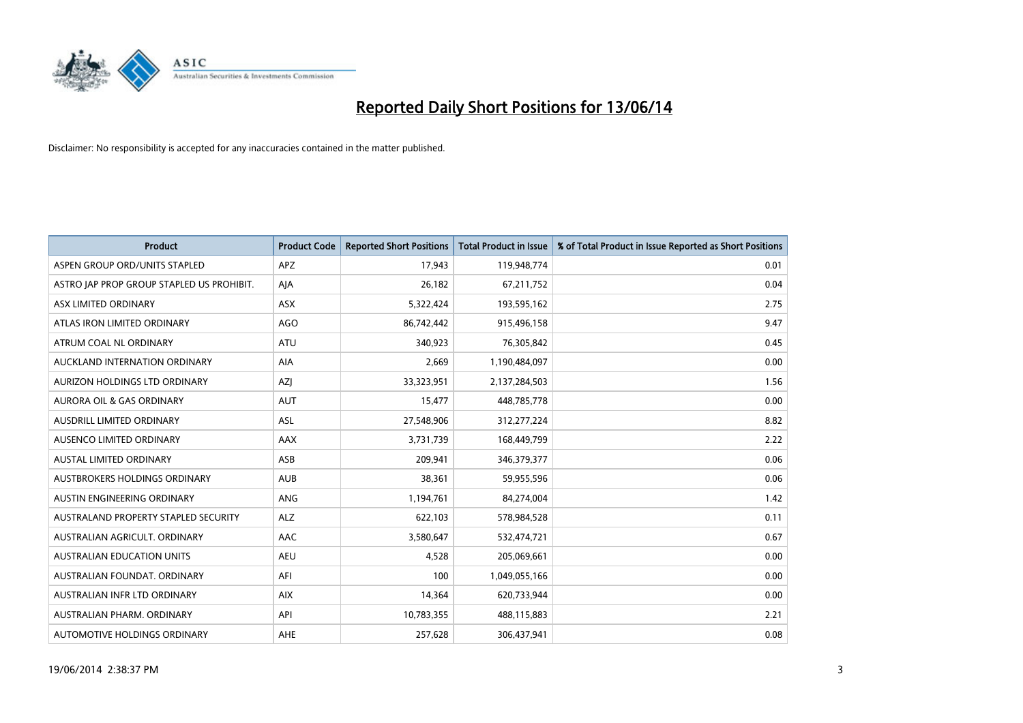

| <b>Product</b>                            | <b>Product Code</b> | <b>Reported Short Positions</b> | <b>Total Product in Issue</b> | % of Total Product in Issue Reported as Short Positions |
|-------------------------------------------|---------------------|---------------------------------|-------------------------------|---------------------------------------------------------|
| ASPEN GROUP ORD/UNITS STAPLED             | <b>APZ</b>          | 17,943                          | 119,948,774                   | 0.01                                                    |
| ASTRO JAP PROP GROUP STAPLED US PROHIBIT. | AJA                 | 26,182                          | 67,211,752                    | 0.04                                                    |
| <b>ASX LIMITED ORDINARY</b>               | <b>ASX</b>          | 5,322,424                       | 193,595,162                   | 2.75                                                    |
| ATLAS IRON LIMITED ORDINARY               | <b>AGO</b>          | 86,742,442                      | 915,496,158                   | 9.47                                                    |
| ATRUM COAL NL ORDINARY                    | <b>ATU</b>          | 340,923                         | 76,305,842                    | 0.45                                                    |
| AUCKLAND INTERNATION ORDINARY             | AIA                 | 2,669                           | 1,190,484,097                 | 0.00                                                    |
| AURIZON HOLDINGS LTD ORDINARY             | AZJ                 | 33,323,951                      | 2,137,284,503                 | 1.56                                                    |
| <b>AURORA OIL &amp; GAS ORDINARY</b>      | <b>AUT</b>          | 15,477                          | 448,785,778                   | 0.00                                                    |
| AUSDRILL LIMITED ORDINARY                 | ASL                 | 27,548,906                      | 312,277,224                   | 8.82                                                    |
| AUSENCO LIMITED ORDINARY                  | AAX                 | 3,731,739                       | 168,449,799                   | 2.22                                                    |
| AUSTAL LIMITED ORDINARY                   | ASB                 | 209,941                         | 346,379,377                   | 0.06                                                    |
| AUSTBROKERS HOLDINGS ORDINARY             | <b>AUB</b>          | 38,361                          | 59,955,596                    | 0.06                                                    |
| AUSTIN ENGINEERING ORDINARY               | <b>ANG</b>          | 1,194,761                       | 84,274,004                    | 1.42                                                    |
| AUSTRALAND PROPERTY STAPLED SECURITY      | <b>ALZ</b>          | 622,103                         | 578,984,528                   | 0.11                                                    |
| AUSTRALIAN AGRICULT, ORDINARY             | AAC                 | 3,580,647                       | 532,474,721                   | 0.67                                                    |
| AUSTRALIAN EDUCATION UNITS                | <b>AEU</b>          | 4,528                           | 205,069,661                   | 0.00                                                    |
| AUSTRALIAN FOUNDAT. ORDINARY              | AFI                 | 100                             | 1,049,055,166                 | 0.00                                                    |
| AUSTRALIAN INFR LTD ORDINARY              | <b>AIX</b>          | 14,364                          | 620,733,944                   | 0.00                                                    |
| AUSTRALIAN PHARM, ORDINARY                | API                 | 10,783,355                      | 488,115,883                   | 2.21                                                    |
| AUTOMOTIVE HOLDINGS ORDINARY              | <b>AHE</b>          | 257,628                         | 306,437,941                   | 0.08                                                    |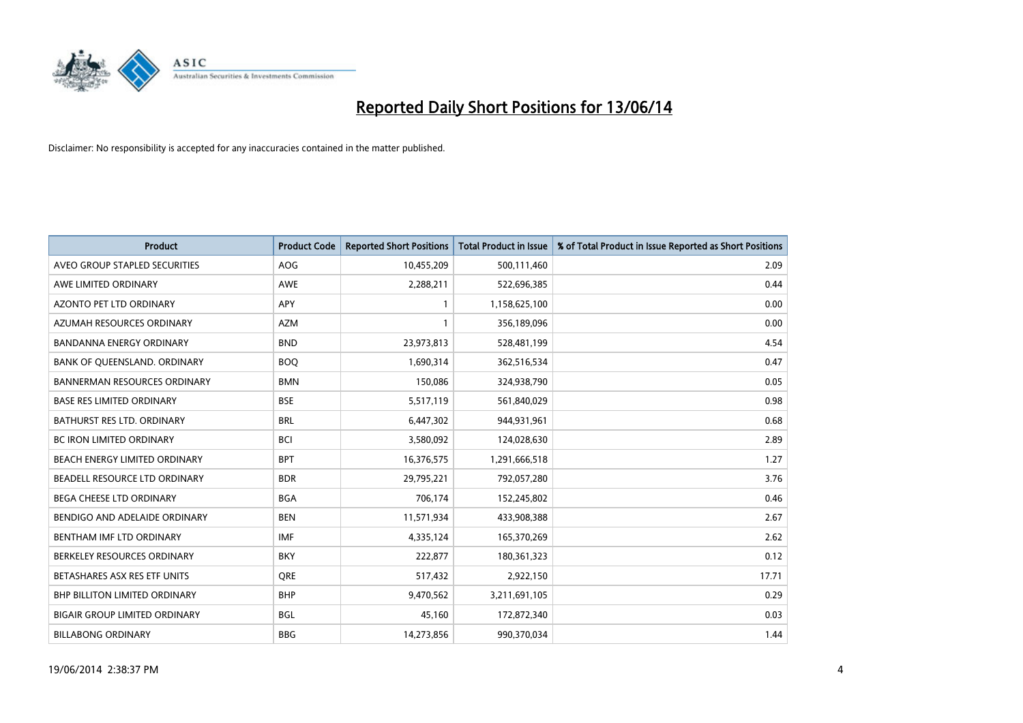

| <b>Product</b>                       | <b>Product Code</b> | <b>Reported Short Positions</b> | <b>Total Product in Issue</b> | % of Total Product in Issue Reported as Short Positions |
|--------------------------------------|---------------------|---------------------------------|-------------------------------|---------------------------------------------------------|
| AVEO GROUP STAPLED SECURITIES        | <b>AOG</b>          | 10,455,209                      | 500,111,460                   | 2.09                                                    |
| AWE LIMITED ORDINARY                 | AWE                 | 2,288,211                       | 522,696,385                   | 0.44                                                    |
| AZONTO PET LTD ORDINARY              | APY                 | $\mathbf{1}$                    | 1,158,625,100                 | 0.00                                                    |
| AZUMAH RESOURCES ORDINARY            | <b>AZM</b>          | $\mathbf{1}$                    | 356,189,096                   | 0.00                                                    |
| <b>BANDANNA ENERGY ORDINARY</b>      | <b>BND</b>          | 23,973,813                      | 528,481,199                   | 4.54                                                    |
| BANK OF QUEENSLAND. ORDINARY         | <b>BOO</b>          | 1,690,314                       | 362,516,534                   | 0.47                                                    |
| <b>BANNERMAN RESOURCES ORDINARY</b>  | <b>BMN</b>          | 150,086                         | 324,938,790                   | 0.05                                                    |
| <b>BASE RES LIMITED ORDINARY</b>     | <b>BSE</b>          | 5,517,119                       | 561,840,029                   | 0.98                                                    |
| BATHURST RES LTD. ORDINARY           | <b>BRL</b>          | 6,447,302                       | 944,931,961                   | 0.68                                                    |
| <b>BC IRON LIMITED ORDINARY</b>      | <b>BCI</b>          | 3,580,092                       | 124,028,630                   | 2.89                                                    |
| BEACH ENERGY LIMITED ORDINARY        | <b>BPT</b>          | 16,376,575                      | 1,291,666,518                 | 1.27                                                    |
| BEADELL RESOURCE LTD ORDINARY        | <b>BDR</b>          | 29,795,221                      | 792,057,280                   | 3.76                                                    |
| BEGA CHEESE LTD ORDINARY             | <b>BGA</b>          | 706,174                         | 152,245,802                   | 0.46                                                    |
| BENDIGO AND ADELAIDE ORDINARY        | <b>BEN</b>          | 11,571,934                      | 433,908,388                   | 2.67                                                    |
| BENTHAM IMF LTD ORDINARY             | <b>IMF</b>          | 4,335,124                       | 165,370,269                   | 2.62                                                    |
| BERKELEY RESOURCES ORDINARY          | <b>BKY</b>          | 222,877                         | 180,361,323                   | 0.12                                                    |
| BETASHARES ASX RES ETF UNITS         | <b>ORE</b>          | 517,432                         | 2,922,150                     | 17.71                                                   |
| <b>BHP BILLITON LIMITED ORDINARY</b> | <b>BHP</b>          | 9,470,562                       | 3,211,691,105                 | 0.29                                                    |
| <b>BIGAIR GROUP LIMITED ORDINARY</b> | <b>BGL</b>          | 45,160                          | 172,872,340                   | 0.03                                                    |
| <b>BILLABONG ORDINARY</b>            | <b>BBG</b>          | 14,273,856                      | 990,370,034                   | 1.44                                                    |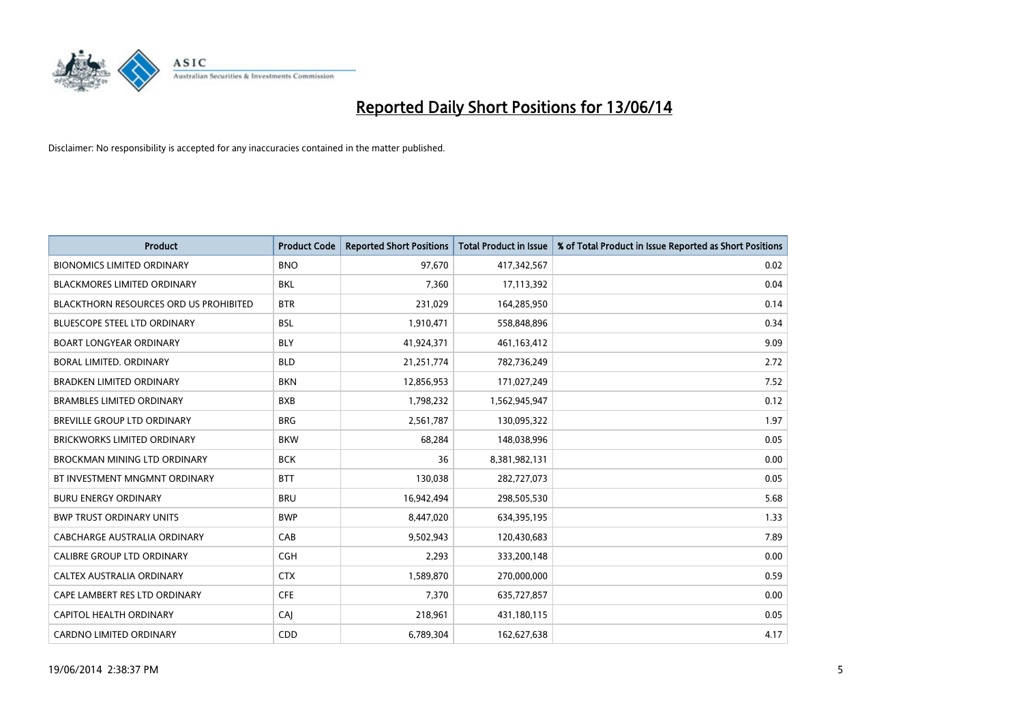

| <b>Product</b>                                | <b>Product Code</b> | <b>Reported Short Positions</b> | <b>Total Product in Issue</b> | % of Total Product in Issue Reported as Short Positions |
|-----------------------------------------------|---------------------|---------------------------------|-------------------------------|---------------------------------------------------------|
| <b>BIONOMICS LIMITED ORDINARY</b>             | <b>BNO</b>          | 97,670                          | 417,342,567                   | 0.02                                                    |
| <b>BLACKMORES LIMITED ORDINARY</b>            | BKL                 | 7,360                           | 17,113,392                    | 0.04                                                    |
| <b>BLACKTHORN RESOURCES ORD US PROHIBITED</b> | <b>BTR</b>          | 231,029                         | 164,285,950                   | 0.14                                                    |
| BLUESCOPE STEEL LTD ORDINARY                  | <b>BSL</b>          | 1,910,471                       | 558,848,896                   | 0.34                                                    |
| <b>BOART LONGYEAR ORDINARY</b>                | <b>BLY</b>          | 41,924,371                      | 461,163,412                   | 9.09                                                    |
| <b>BORAL LIMITED, ORDINARY</b>                | <b>BLD</b>          | 21,251,774                      | 782,736,249                   | 2.72                                                    |
| <b>BRADKEN LIMITED ORDINARY</b>               | <b>BKN</b>          | 12,856,953                      | 171,027,249                   | 7.52                                                    |
| <b>BRAMBLES LIMITED ORDINARY</b>              | <b>BXB</b>          | 1,798,232                       | 1,562,945,947                 | 0.12                                                    |
| <b>BREVILLE GROUP LTD ORDINARY</b>            | <b>BRG</b>          | 2,561,787                       | 130,095,322                   | 1.97                                                    |
| <b>BRICKWORKS LIMITED ORDINARY</b>            | <b>BKW</b>          | 68,284                          | 148,038,996                   | 0.05                                                    |
| <b>BROCKMAN MINING LTD ORDINARY</b>           | <b>BCK</b>          | 36                              | 8,381,982,131                 | 0.00                                                    |
| BT INVESTMENT MNGMNT ORDINARY                 | <b>BTT</b>          | 130,038                         | 282,727,073                   | 0.05                                                    |
| <b>BURU ENERGY ORDINARY</b>                   | <b>BRU</b>          | 16,942,494                      | 298,505,530                   | 5.68                                                    |
| <b>BWP TRUST ORDINARY UNITS</b>               | <b>BWP</b>          | 8,447,020                       | 634,395,195                   | 1.33                                                    |
| <b>CABCHARGE AUSTRALIA ORDINARY</b>           | CAB                 | 9,502,943                       | 120,430,683                   | 7.89                                                    |
| CALIBRE GROUP LTD ORDINARY                    | <b>CGH</b>          | 2,293                           | 333,200,148                   | 0.00                                                    |
| CALTEX AUSTRALIA ORDINARY                     | <b>CTX</b>          | 1,589,870                       | 270,000,000                   | 0.59                                                    |
| CAPE LAMBERT RES LTD ORDINARY                 | <b>CFE</b>          | 7,370                           | 635,727,857                   | 0.00                                                    |
| <b>CAPITOL HEALTH ORDINARY</b>                | CAI                 | 218,961                         | 431,180,115                   | 0.05                                                    |
| <b>CARDNO LIMITED ORDINARY</b>                | CDD                 | 6,789,304                       | 162,627,638                   | 4.17                                                    |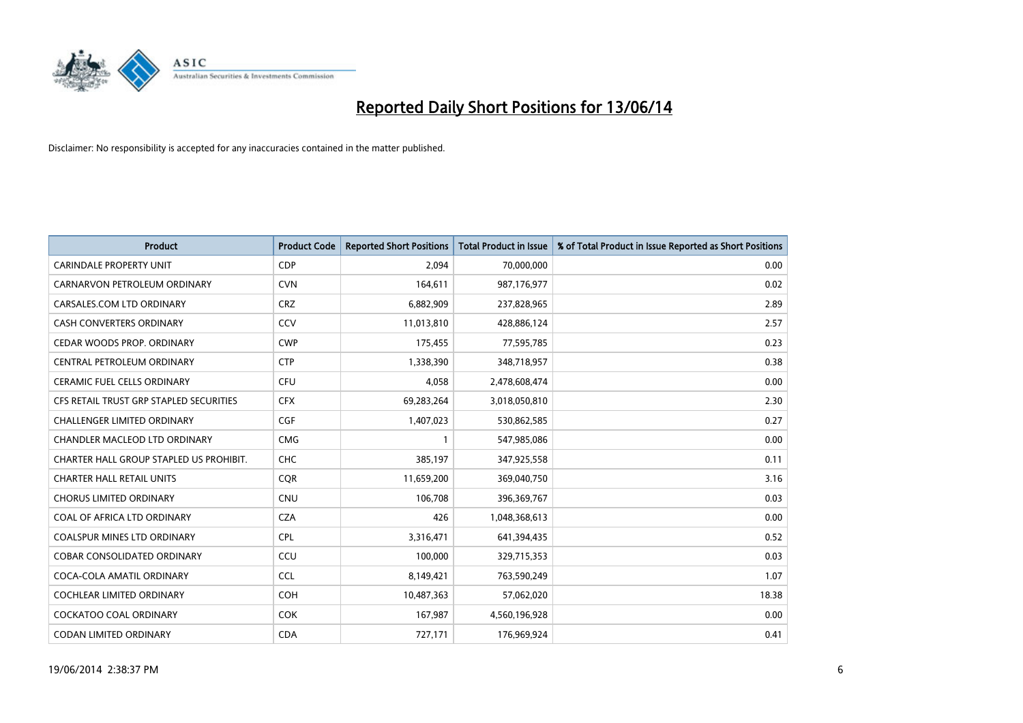

| Product                                 | <b>Product Code</b> | <b>Reported Short Positions</b> | <b>Total Product in Issue</b> | % of Total Product in Issue Reported as Short Positions |
|-----------------------------------------|---------------------|---------------------------------|-------------------------------|---------------------------------------------------------|
| CARINDALE PROPERTY UNIT                 | <b>CDP</b>          | 2,094                           | 70,000,000                    | 0.00                                                    |
| CARNARVON PETROLEUM ORDINARY            | <b>CVN</b>          | 164,611                         | 987,176,977                   | 0.02                                                    |
| CARSALES.COM LTD ORDINARY               | <b>CRZ</b>          | 6,882,909                       | 237,828,965                   | 2.89                                                    |
| CASH CONVERTERS ORDINARY                | CCV                 | 11,013,810                      | 428,886,124                   | 2.57                                                    |
| CEDAR WOODS PROP. ORDINARY              | <b>CWP</b>          | 175,455                         | 77,595,785                    | 0.23                                                    |
| CENTRAL PETROLEUM ORDINARY              | <b>CTP</b>          | 1,338,390                       | 348,718,957                   | 0.38                                                    |
| <b>CERAMIC FUEL CELLS ORDINARY</b>      | <b>CFU</b>          | 4,058                           | 2,478,608,474                 | 0.00                                                    |
| CFS RETAIL TRUST GRP STAPLED SECURITIES | <b>CFX</b>          | 69,283,264                      | 3,018,050,810                 | 2.30                                                    |
| <b>CHALLENGER LIMITED ORDINARY</b>      | <b>CGF</b>          | 1,407,023                       | 530,862,585                   | 0.27                                                    |
| CHANDLER MACLEOD LTD ORDINARY           | <b>CMG</b>          | $\mathbf{1}$                    | 547,985,086                   | 0.00                                                    |
| CHARTER HALL GROUP STAPLED US PROHIBIT. | <b>CHC</b>          | 385,197                         | 347,925,558                   | 0.11                                                    |
| <b>CHARTER HALL RETAIL UNITS</b>        | <b>COR</b>          | 11,659,200                      | 369,040,750                   | 3.16                                                    |
| <b>CHORUS LIMITED ORDINARY</b>          | <b>CNU</b>          | 106,708                         | 396,369,767                   | 0.03                                                    |
| COAL OF AFRICA LTD ORDINARY             | <b>CZA</b>          | 426                             | 1,048,368,613                 | 0.00                                                    |
| COALSPUR MINES LTD ORDINARY             | <b>CPL</b>          | 3,316,471                       | 641,394,435                   | 0.52                                                    |
| COBAR CONSOLIDATED ORDINARY             | CCU                 | 100,000                         | 329,715,353                   | 0.03                                                    |
| COCA-COLA AMATIL ORDINARY               | <b>CCL</b>          | 8,149,421                       | 763,590,249                   | 1.07                                                    |
| COCHLEAR LIMITED ORDINARY               | <b>COH</b>          | 10,487,363                      | 57,062,020                    | 18.38                                                   |
| <b>COCKATOO COAL ORDINARY</b>           | <b>COK</b>          | 167,987                         | 4,560,196,928                 | 0.00                                                    |
| CODAN LIMITED ORDINARY                  | <b>CDA</b>          | 727,171                         | 176,969,924                   | 0.41                                                    |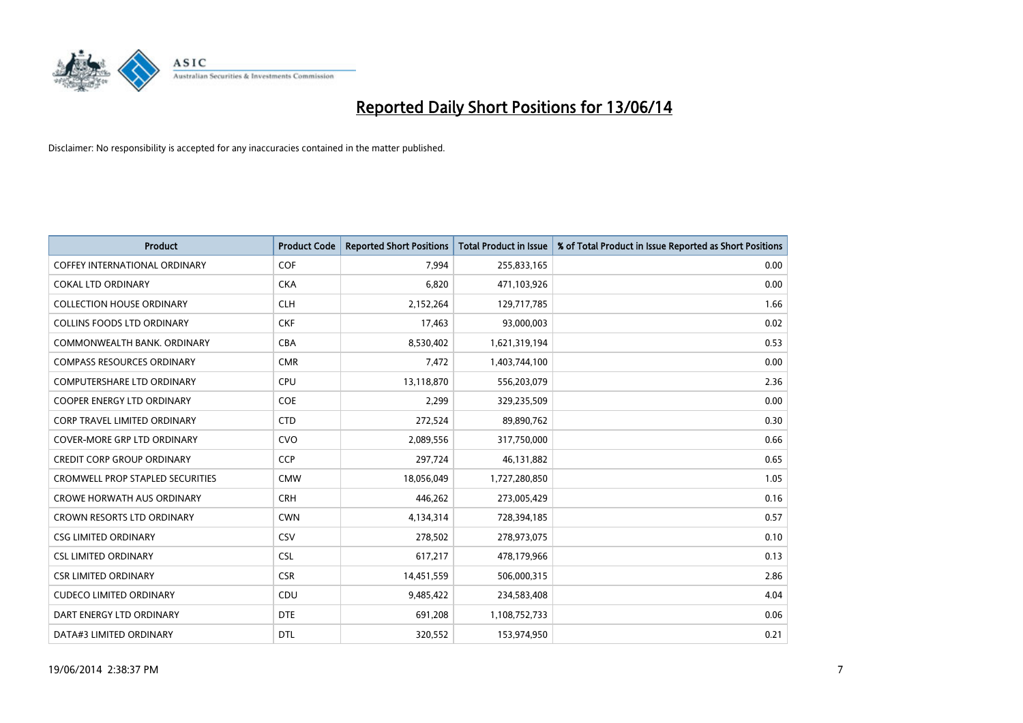

| <b>Product</b>                          | <b>Product Code</b> | <b>Reported Short Positions</b> | <b>Total Product in Issue</b> | % of Total Product in Issue Reported as Short Positions |
|-----------------------------------------|---------------------|---------------------------------|-------------------------------|---------------------------------------------------------|
| <b>COFFEY INTERNATIONAL ORDINARY</b>    | COF                 | 7,994                           | 255,833,165                   | 0.00                                                    |
| <b>COKAL LTD ORDINARY</b>               | <b>CKA</b>          | 6,820                           | 471,103,926                   | 0.00                                                    |
| <b>COLLECTION HOUSE ORDINARY</b>        | <b>CLH</b>          | 2,152,264                       | 129,717,785                   | 1.66                                                    |
| <b>COLLINS FOODS LTD ORDINARY</b>       | <b>CKF</b>          | 17,463                          | 93,000,003                    | 0.02                                                    |
| COMMONWEALTH BANK, ORDINARY             | <b>CBA</b>          | 8,530,402                       | 1,621,319,194                 | 0.53                                                    |
| <b>COMPASS RESOURCES ORDINARY</b>       | <b>CMR</b>          | 7,472                           | 1,403,744,100                 | 0.00                                                    |
| <b>COMPUTERSHARE LTD ORDINARY</b>       | <b>CPU</b>          | 13,118,870                      | 556,203,079                   | 2.36                                                    |
| <b>COOPER ENERGY LTD ORDINARY</b>       | <b>COE</b>          | 2,299                           | 329,235,509                   | 0.00                                                    |
| CORP TRAVEL LIMITED ORDINARY            | <b>CTD</b>          | 272,524                         | 89,890,762                    | 0.30                                                    |
| <b>COVER-MORE GRP LTD ORDINARY</b>      | <b>CVO</b>          | 2,089,556                       | 317,750,000                   | 0.66                                                    |
| <b>CREDIT CORP GROUP ORDINARY</b>       | <b>CCP</b>          | 297,724                         | 46,131,882                    | 0.65                                                    |
| <b>CROMWELL PROP STAPLED SECURITIES</b> | <b>CMW</b>          | 18,056,049                      | 1,727,280,850                 | 1.05                                                    |
| <b>CROWE HORWATH AUS ORDINARY</b>       | <b>CRH</b>          | 446,262                         | 273,005,429                   | 0.16                                                    |
| <b>CROWN RESORTS LTD ORDINARY</b>       | <b>CWN</b>          | 4,134,314                       | 728,394,185                   | 0.57                                                    |
| <b>CSG LIMITED ORDINARY</b>             | CSV                 | 278,502                         | 278,973,075                   | 0.10                                                    |
| <b>CSL LIMITED ORDINARY</b>             | <b>CSL</b>          | 617,217                         | 478,179,966                   | 0.13                                                    |
| <b>CSR LIMITED ORDINARY</b>             | <b>CSR</b>          | 14,451,559                      | 506,000,315                   | 2.86                                                    |
| <b>CUDECO LIMITED ORDINARY</b>          | CDU                 | 9,485,422                       | 234,583,408                   | 4.04                                                    |
| DART ENERGY LTD ORDINARY                | <b>DTE</b>          | 691,208                         | 1,108,752,733                 | 0.06                                                    |
| DATA#3 LIMITED ORDINARY                 | <b>DTL</b>          | 320,552                         | 153,974,950                   | 0.21                                                    |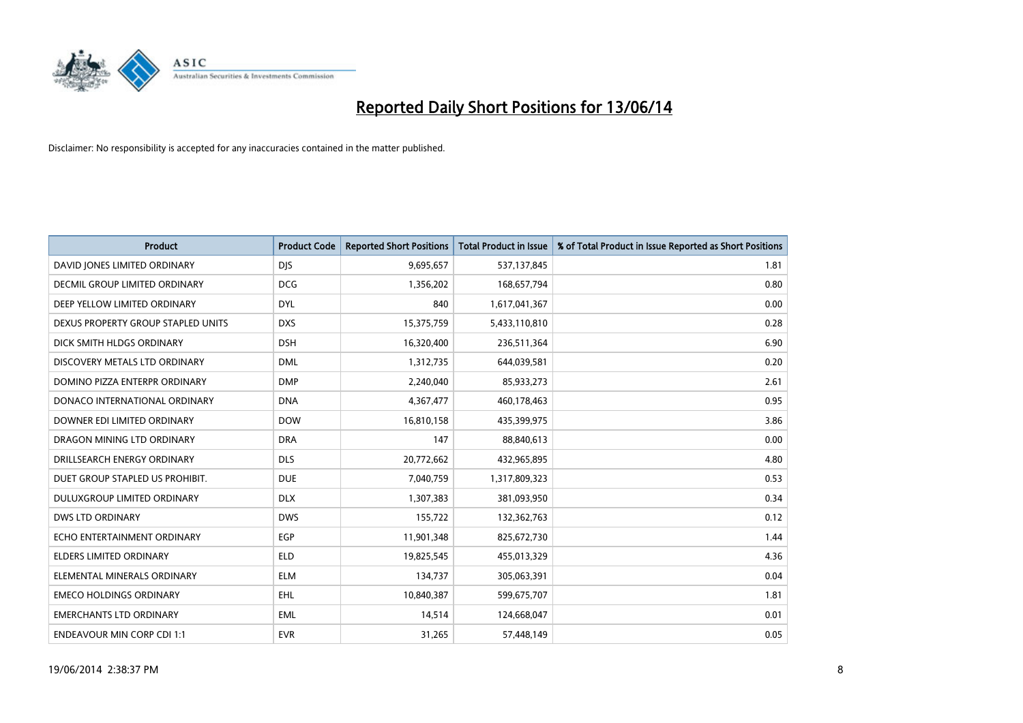

| <b>Product</b>                     | <b>Product Code</b> | <b>Reported Short Positions</b> | <b>Total Product in Issue</b> | % of Total Product in Issue Reported as Short Positions |
|------------------------------------|---------------------|---------------------------------|-------------------------------|---------------------------------------------------------|
| DAVID JONES LIMITED ORDINARY       | <b>DJS</b>          | 9,695,657                       | 537,137,845                   | 1.81                                                    |
| DECMIL GROUP LIMITED ORDINARY      | <b>DCG</b>          | 1,356,202                       | 168,657,794                   | 0.80                                                    |
| DEEP YELLOW LIMITED ORDINARY       | <b>DYL</b>          | 840                             | 1,617,041,367                 | 0.00                                                    |
| DEXUS PROPERTY GROUP STAPLED UNITS | <b>DXS</b>          | 15,375,759                      | 5,433,110,810                 | 0.28                                                    |
| DICK SMITH HLDGS ORDINARY          | <b>DSH</b>          | 16,320,400                      | 236,511,364                   | 6.90                                                    |
| DISCOVERY METALS LTD ORDINARY      | <b>DML</b>          | 1,312,735                       | 644,039,581                   | 0.20                                                    |
| DOMINO PIZZA ENTERPR ORDINARY      | <b>DMP</b>          | 2,240,040                       | 85,933,273                    | 2.61                                                    |
| DONACO INTERNATIONAL ORDINARY      | <b>DNA</b>          | 4,367,477                       | 460,178,463                   | 0.95                                                    |
| DOWNER EDI LIMITED ORDINARY        | <b>DOW</b>          | 16,810,158                      | 435,399,975                   | 3.86                                                    |
| DRAGON MINING LTD ORDINARY         | <b>DRA</b>          | 147                             | 88,840,613                    | 0.00                                                    |
| DRILLSEARCH ENERGY ORDINARY        | <b>DLS</b>          | 20,772,662                      | 432,965,895                   | 4.80                                                    |
| DUET GROUP STAPLED US PROHIBIT.    | <b>DUE</b>          | 7,040,759                       | 1,317,809,323                 | 0.53                                                    |
| DULUXGROUP LIMITED ORDINARY        | <b>DLX</b>          | 1,307,383                       | 381,093,950                   | 0.34                                                    |
| <b>DWS LTD ORDINARY</b>            | <b>DWS</b>          | 155,722                         | 132,362,763                   | 0.12                                                    |
| ECHO ENTERTAINMENT ORDINARY        | EGP                 | 11,901,348                      | 825,672,730                   | 1.44                                                    |
| ELDERS LIMITED ORDINARY            | <b>ELD</b>          | 19,825,545                      | 455,013,329                   | 4.36                                                    |
| ELEMENTAL MINERALS ORDINARY        | <b>ELM</b>          | 134,737                         | 305,063,391                   | 0.04                                                    |
| <b>EMECO HOLDINGS ORDINARY</b>     | <b>EHL</b>          | 10,840,387                      | 599,675,707                   | 1.81                                                    |
| <b>EMERCHANTS LTD ORDINARY</b>     | <b>EML</b>          | 14,514                          | 124,668,047                   | 0.01                                                    |
| <b>ENDEAVOUR MIN CORP CDI 1:1</b>  | <b>EVR</b>          | 31,265                          | 57,448,149                    | 0.05                                                    |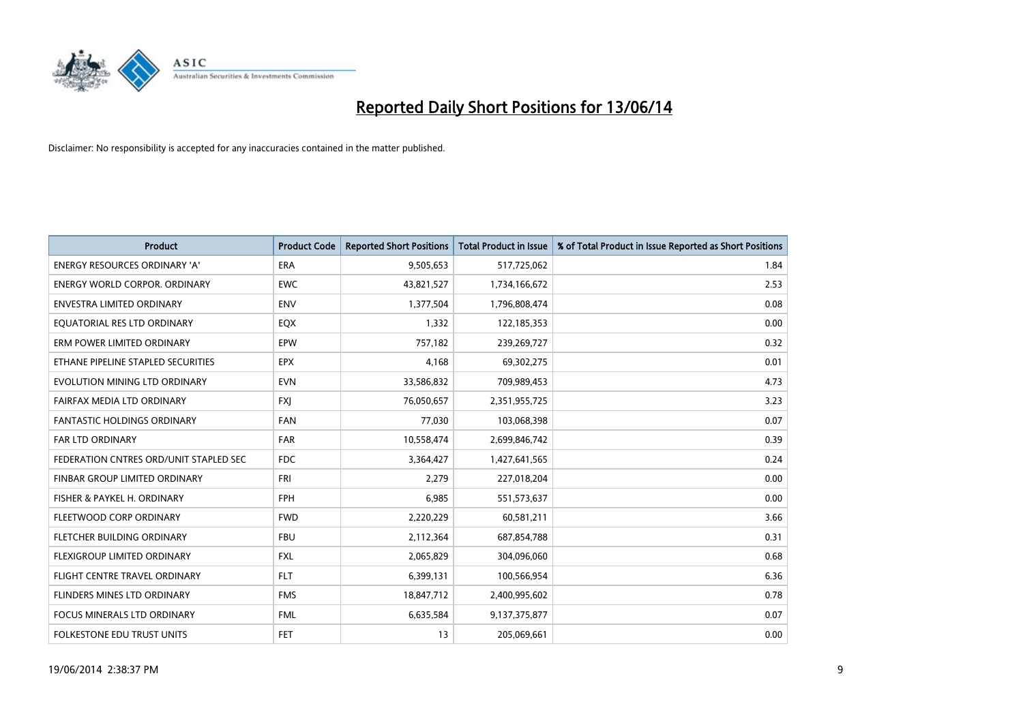

| <b>Product</b>                         | <b>Product Code</b> | <b>Reported Short Positions</b> | <b>Total Product in Issue</b> | % of Total Product in Issue Reported as Short Positions |
|----------------------------------------|---------------------|---------------------------------|-------------------------------|---------------------------------------------------------|
| <b>ENERGY RESOURCES ORDINARY 'A'</b>   | <b>ERA</b>          | 9,505,653                       | 517,725,062                   | 1.84                                                    |
| <b>ENERGY WORLD CORPOR. ORDINARY</b>   | <b>EWC</b>          | 43,821,527                      | 1,734,166,672                 | 2.53                                                    |
| <b>ENVESTRA LIMITED ORDINARY</b>       | <b>ENV</b>          | 1,377,504                       | 1,796,808,474                 | 0.08                                                    |
| EQUATORIAL RES LTD ORDINARY            | EQX                 | 1,332                           | 122,185,353                   | 0.00                                                    |
| ERM POWER LIMITED ORDINARY             | EPW                 | 757,182                         | 239,269,727                   | 0.32                                                    |
| ETHANE PIPELINE STAPLED SECURITIES     | <b>EPX</b>          | 4,168                           | 69,302,275                    | 0.01                                                    |
| EVOLUTION MINING LTD ORDINARY          | <b>EVN</b>          | 33,586,832                      | 709,989,453                   | 4.73                                                    |
| FAIRFAX MEDIA LTD ORDINARY             | <b>FXI</b>          | 76,050,657                      | 2,351,955,725                 | 3.23                                                    |
| <b>FANTASTIC HOLDINGS ORDINARY</b>     | <b>FAN</b>          | 77,030                          | 103,068,398                   | 0.07                                                    |
| <b>FAR LTD ORDINARY</b>                | <b>FAR</b>          | 10,558,474                      | 2,699,846,742                 | 0.39                                                    |
| FEDERATION CNTRES ORD/UNIT STAPLED SEC | <b>FDC</b>          | 3,364,427                       | 1,427,641,565                 | 0.24                                                    |
| FINBAR GROUP LIMITED ORDINARY          | <b>FRI</b>          | 2,279                           | 227,018,204                   | 0.00                                                    |
| FISHER & PAYKEL H. ORDINARY            | <b>FPH</b>          | 6,985                           | 551,573,637                   | 0.00                                                    |
| FLEETWOOD CORP ORDINARY                | <b>FWD</b>          | 2,220,229                       | 60,581,211                    | 3.66                                                    |
| FLETCHER BUILDING ORDINARY             | <b>FBU</b>          | 2,112,364                       | 687,854,788                   | 0.31                                                    |
| FLEXIGROUP LIMITED ORDINARY            | <b>FXL</b>          | 2,065,829                       | 304,096,060                   | 0.68                                                    |
| FLIGHT CENTRE TRAVEL ORDINARY          | <b>FLT</b>          | 6,399,131                       | 100,566,954                   | 6.36                                                    |
| FLINDERS MINES LTD ORDINARY            | <b>FMS</b>          | 18,847,712                      | 2,400,995,602                 | 0.78                                                    |
| <b>FOCUS MINERALS LTD ORDINARY</b>     | <b>FML</b>          | 6,635,584                       | 9,137,375,877                 | 0.07                                                    |
| FOLKESTONE EDU TRUST UNITS             | <b>FET</b>          | 13                              | 205,069,661                   | 0.00                                                    |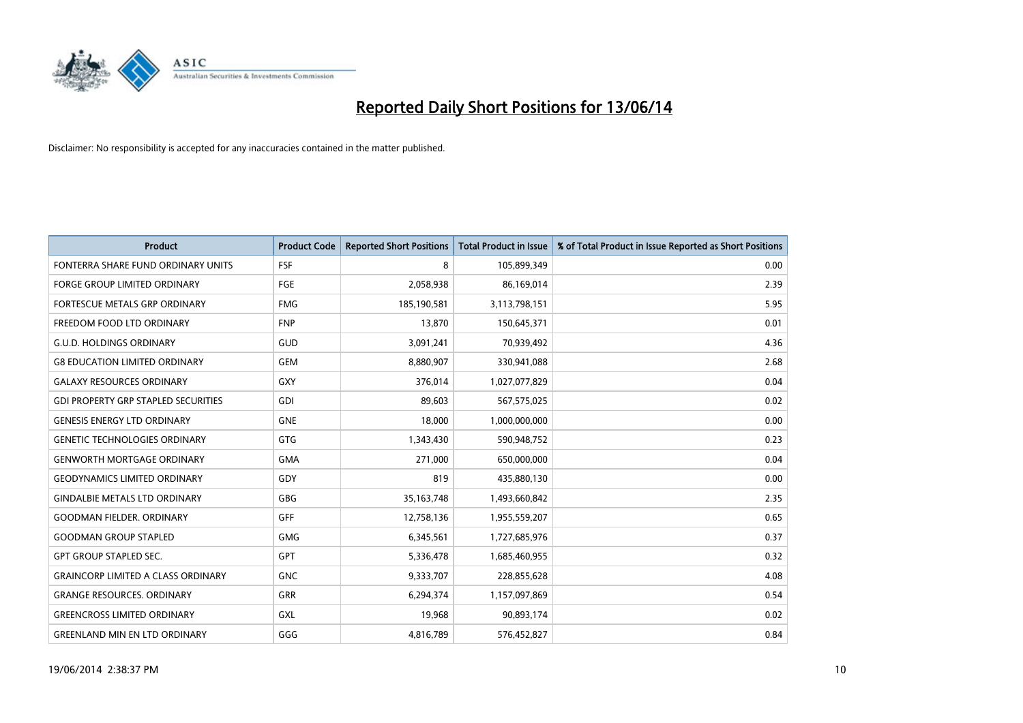

| <b>Product</b>                             | <b>Product Code</b> | <b>Reported Short Positions</b> | <b>Total Product in Issue</b> | % of Total Product in Issue Reported as Short Positions |
|--------------------------------------------|---------------------|---------------------------------|-------------------------------|---------------------------------------------------------|
| FONTERRA SHARE FUND ORDINARY UNITS         | <b>FSF</b>          | 8                               | 105,899,349                   | 0.00                                                    |
| FORGE GROUP LIMITED ORDINARY               | FGE                 | 2,058,938                       | 86,169,014                    | 2.39                                                    |
| <b>FORTESCUE METALS GRP ORDINARY</b>       | <b>FMG</b>          | 185,190,581                     | 3,113,798,151                 | 5.95                                                    |
| FREEDOM FOOD LTD ORDINARY                  | <b>FNP</b>          | 13,870                          | 150,645,371                   | 0.01                                                    |
| <b>G.U.D. HOLDINGS ORDINARY</b>            | GUD                 | 3,091,241                       | 70,939,492                    | 4.36                                                    |
| <b>G8 EDUCATION LIMITED ORDINARY</b>       | <b>GEM</b>          | 8,880,907                       | 330,941,088                   | 2.68                                                    |
| <b>GALAXY RESOURCES ORDINARY</b>           | <b>GXY</b>          | 376,014                         | 1,027,077,829                 | 0.04                                                    |
| <b>GDI PROPERTY GRP STAPLED SECURITIES</b> | <b>GDI</b>          | 89,603                          | 567,575,025                   | 0.02                                                    |
| <b>GENESIS ENERGY LTD ORDINARY</b>         | <b>GNE</b>          | 18.000                          | 1,000,000,000                 | 0.00                                                    |
| <b>GENETIC TECHNOLOGIES ORDINARY</b>       | <b>GTG</b>          | 1,343,430                       | 590,948,752                   | 0.23                                                    |
| <b>GENWORTH MORTGAGE ORDINARY</b>          | <b>GMA</b>          | 271,000                         | 650,000,000                   | 0.04                                                    |
| <b>GEODYNAMICS LIMITED ORDINARY</b>        | GDY                 | 819                             | 435,880,130                   | 0.00                                                    |
| <b>GINDALBIE METALS LTD ORDINARY</b>       | <b>GBG</b>          | 35, 163, 748                    | 1,493,660,842                 | 2.35                                                    |
| <b>GOODMAN FIELDER, ORDINARY</b>           | GFF                 | 12,758,136                      | 1,955,559,207                 | 0.65                                                    |
| <b>GOODMAN GROUP STAPLED</b>               | <b>GMG</b>          | 6,345,561                       | 1,727,685,976                 | 0.37                                                    |
| <b>GPT GROUP STAPLED SEC.</b>              | GPT                 | 5,336,478                       | 1,685,460,955                 | 0.32                                                    |
| <b>GRAINCORP LIMITED A CLASS ORDINARY</b>  | <b>GNC</b>          | 9,333,707                       | 228,855,628                   | 4.08                                                    |
| <b>GRANGE RESOURCES. ORDINARY</b>          | <b>GRR</b>          | 6,294,374                       | 1,157,097,869                 | 0.54                                                    |
| <b>GREENCROSS LIMITED ORDINARY</b>         | <b>GXL</b>          | 19,968                          | 90,893,174                    | 0.02                                                    |
| <b>GREENLAND MIN EN LTD ORDINARY</b>       | GGG                 | 4,816,789                       | 576,452,827                   | 0.84                                                    |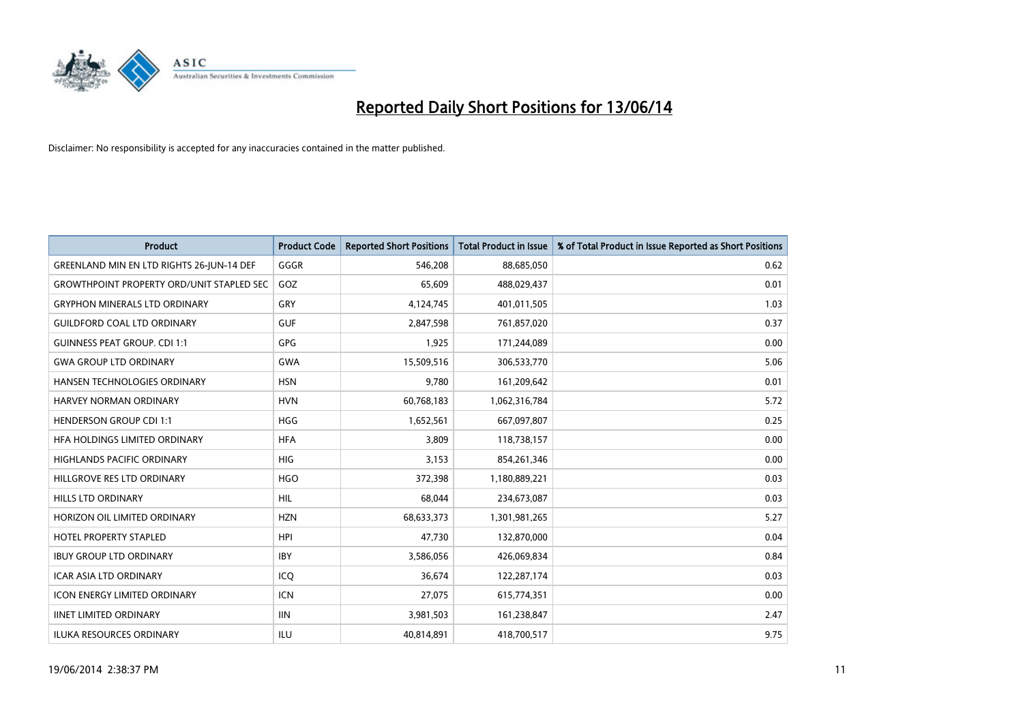

| <b>Product</b>                                   | <b>Product Code</b> | <b>Reported Short Positions</b> | <b>Total Product in Issue</b> | % of Total Product in Issue Reported as Short Positions |
|--------------------------------------------------|---------------------|---------------------------------|-------------------------------|---------------------------------------------------------|
| GREENLAND MIN EN LTD RIGHTS 26-JUN-14 DEF        | GGGR                | 546,208                         | 88,685,050                    | 0.62                                                    |
| <b>GROWTHPOINT PROPERTY ORD/UNIT STAPLED SEC</b> | GOZ                 | 65,609                          | 488,029,437                   | 0.01                                                    |
| <b>GRYPHON MINERALS LTD ORDINARY</b>             | GRY                 | 4,124,745                       | 401,011,505                   | 1.03                                                    |
| <b>GUILDFORD COAL LTD ORDINARY</b>               | <b>GUF</b>          | 2,847,598                       | 761,857,020                   | 0.37                                                    |
| <b>GUINNESS PEAT GROUP. CDI 1:1</b>              | <b>GPG</b>          | 1,925                           | 171,244,089                   | 0.00                                                    |
| <b>GWA GROUP LTD ORDINARY</b>                    | GWA                 | 15,509,516                      | 306,533,770                   | 5.06                                                    |
| HANSEN TECHNOLOGIES ORDINARY                     | <b>HSN</b>          | 9,780                           | 161,209,642                   | 0.01                                                    |
| <b>HARVEY NORMAN ORDINARY</b>                    | <b>HVN</b>          | 60,768,183                      | 1,062,316,784                 | 5.72                                                    |
| <b>HENDERSON GROUP CDI 1:1</b>                   | <b>HGG</b>          | 1,652,561                       | 667,097,807                   | 0.25                                                    |
| HFA HOLDINGS LIMITED ORDINARY                    | <b>HFA</b>          | 3,809                           | 118,738,157                   | 0.00                                                    |
| <b>HIGHLANDS PACIFIC ORDINARY</b>                | <b>HIG</b>          | 3,153                           | 854,261,346                   | 0.00                                                    |
| HILLGROVE RES LTD ORDINARY                       | <b>HGO</b>          | 372,398                         | 1,180,889,221                 | 0.03                                                    |
| <b>HILLS LTD ORDINARY</b>                        | <b>HIL</b>          | 68,044                          | 234,673,087                   | 0.03                                                    |
| HORIZON OIL LIMITED ORDINARY                     | <b>HZN</b>          | 68,633,373                      | 1,301,981,265                 | 5.27                                                    |
| <b>HOTEL PROPERTY STAPLED</b>                    | <b>HPI</b>          | 47,730                          | 132,870,000                   | 0.04                                                    |
| <b>IBUY GROUP LTD ORDINARY</b>                   | <b>IBY</b>          | 3,586,056                       | 426,069,834                   | 0.84                                                    |
| ICAR ASIA LTD ORDINARY                           | ICQ                 | 36,674                          | 122,287,174                   | 0.03                                                    |
| <b>ICON ENERGY LIMITED ORDINARY</b>              | <b>ICN</b>          | 27,075                          | 615,774,351                   | 0.00                                                    |
| <b>IINET LIMITED ORDINARY</b>                    | <b>IIN</b>          | 3,981,503                       | 161,238,847                   | 2.47                                                    |
| <b>ILUKA RESOURCES ORDINARY</b>                  | ILU                 | 40,814,891                      | 418,700,517                   | 9.75                                                    |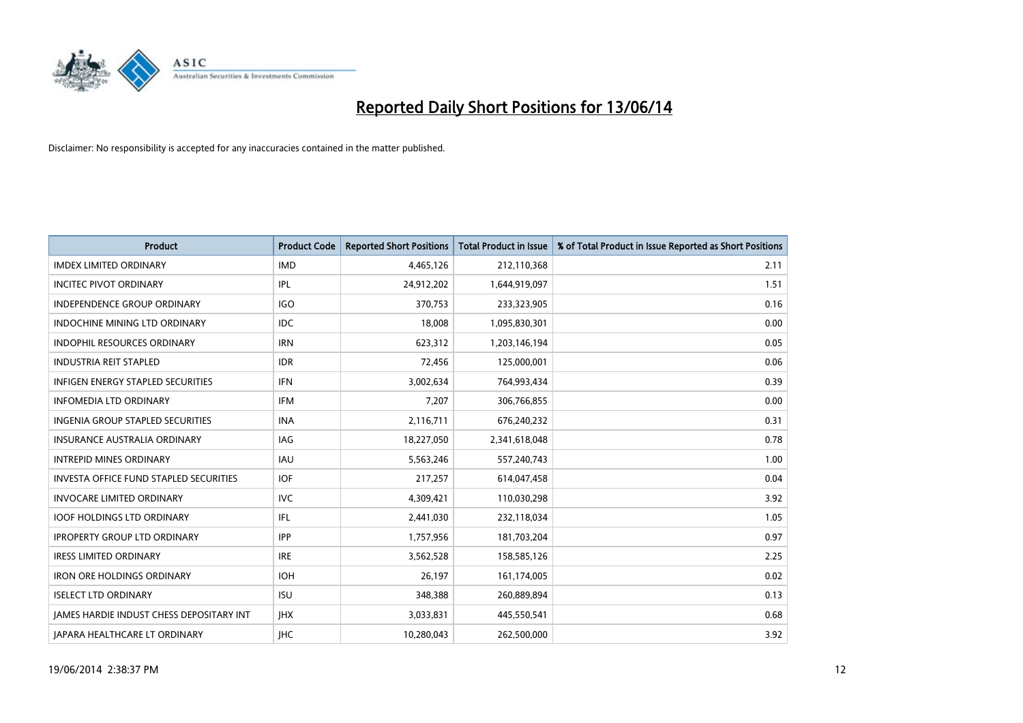

| <b>Product</b>                                  | <b>Product Code</b> | <b>Reported Short Positions</b> | <b>Total Product in Issue</b> | % of Total Product in Issue Reported as Short Positions |
|-------------------------------------------------|---------------------|---------------------------------|-------------------------------|---------------------------------------------------------|
| <b>IMDEX LIMITED ORDINARY</b>                   | <b>IMD</b>          | 4,465,126                       | 212,110,368                   | 2.11                                                    |
| <b>INCITEC PIVOT ORDINARY</b>                   | IPL                 | 24,912,202                      | 1,644,919,097                 | 1.51                                                    |
| <b>INDEPENDENCE GROUP ORDINARY</b>              | <b>IGO</b>          | 370,753                         | 233,323,905                   | 0.16                                                    |
| INDOCHINE MINING LTD ORDINARY                   | <b>IDC</b>          | 18,008                          | 1,095,830,301                 | 0.00                                                    |
| <b>INDOPHIL RESOURCES ORDINARY</b>              | <b>IRN</b>          | 623,312                         | 1,203,146,194                 | 0.05                                                    |
| <b>INDUSTRIA REIT STAPLED</b>                   | <b>IDR</b>          | 72,456                          | 125,000,001                   | 0.06                                                    |
| <b>INFIGEN ENERGY STAPLED SECURITIES</b>        | <b>IFN</b>          | 3,002,634                       | 764,993,434                   | 0.39                                                    |
| <b>INFOMEDIA LTD ORDINARY</b>                   | <b>IFM</b>          | 7,207                           | 306,766,855                   | 0.00                                                    |
| INGENIA GROUP STAPLED SECURITIES                | <b>INA</b>          | 2,116,711                       | 676,240,232                   | 0.31                                                    |
| INSURANCE AUSTRALIA ORDINARY                    | <b>IAG</b>          | 18,227,050                      | 2,341,618,048                 | 0.78                                                    |
| <b>INTREPID MINES ORDINARY</b>                  | <b>IAU</b>          | 5,563,246                       | 557,240,743                   | 1.00                                                    |
| <b>INVESTA OFFICE FUND STAPLED SECURITIES</b>   | <b>IOF</b>          | 217,257                         | 614,047,458                   | 0.04                                                    |
| <b>INVOCARE LIMITED ORDINARY</b>                | <b>IVC</b>          | 4,309,421                       | 110,030,298                   | 3.92                                                    |
| <b>IOOF HOLDINGS LTD ORDINARY</b>               | IFL                 | 2,441,030                       | 232,118,034                   | 1.05                                                    |
| <b>IPROPERTY GROUP LTD ORDINARY</b>             | <b>IPP</b>          | 1,757,956                       | 181,703,204                   | 0.97                                                    |
| <b>IRESS LIMITED ORDINARY</b>                   | <b>IRE</b>          | 3,562,528                       | 158,585,126                   | 2.25                                                    |
| <b>IRON ORE HOLDINGS ORDINARY</b>               | <b>IOH</b>          | 26,197                          | 161,174,005                   | 0.02                                                    |
| <b>ISELECT LTD ORDINARY</b>                     | <b>ISU</b>          | 348,388                         | 260,889,894                   | 0.13                                                    |
| <b>IAMES HARDIE INDUST CHESS DEPOSITARY INT</b> | <b>IHX</b>          | 3,033,831                       | 445,550,541                   | 0.68                                                    |
| JAPARA HEALTHCARE LT ORDINARY                   | <b>IHC</b>          | 10.280.043                      | 262,500,000                   | 3.92                                                    |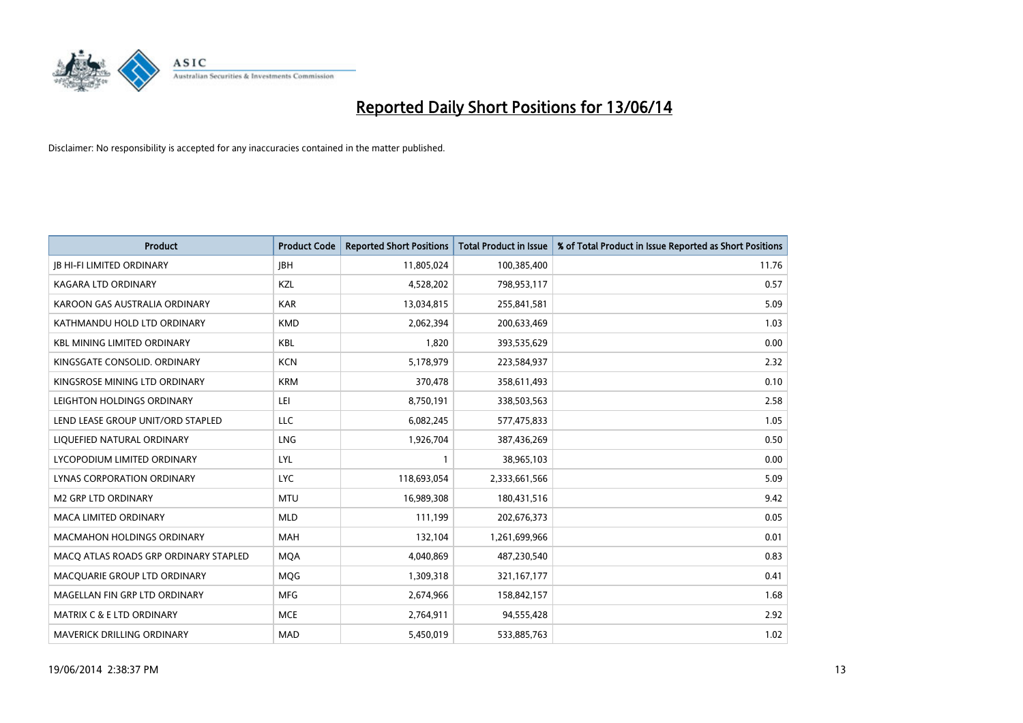

| <b>Product</b>                        | <b>Product Code</b> | <b>Reported Short Positions</b> | <b>Total Product in Issue</b> | % of Total Product in Issue Reported as Short Positions |
|---------------------------------------|---------------------|---------------------------------|-------------------------------|---------------------------------------------------------|
| <b>JB HI-FI LIMITED ORDINARY</b>      | <b>JBH</b>          | 11,805,024                      | 100,385,400                   | 11.76                                                   |
| KAGARA LTD ORDINARY                   | KZL                 | 4,528,202                       | 798,953,117                   | 0.57                                                    |
| KAROON GAS AUSTRALIA ORDINARY         | <b>KAR</b>          | 13,034,815                      | 255,841,581                   | 5.09                                                    |
| KATHMANDU HOLD LTD ORDINARY           | <b>KMD</b>          | 2,062,394                       | 200,633,469                   | 1.03                                                    |
| <b>KBL MINING LIMITED ORDINARY</b>    | <b>KBL</b>          | 1,820                           | 393,535,629                   | 0.00                                                    |
| KINGSGATE CONSOLID, ORDINARY          | <b>KCN</b>          | 5,178,979                       | 223,584,937                   | 2.32                                                    |
| KINGSROSE MINING LTD ORDINARY         | <b>KRM</b>          | 370,478                         | 358,611,493                   | 0.10                                                    |
| LEIGHTON HOLDINGS ORDINARY            | LEI                 | 8,750,191                       | 338,503,563                   | 2.58                                                    |
| LEND LEASE GROUP UNIT/ORD STAPLED     | <b>LLC</b>          | 6,082,245                       | 577,475,833                   | 1.05                                                    |
| LIQUEFIED NATURAL ORDINARY            | <b>LNG</b>          | 1,926,704                       | 387,436,269                   | 0.50                                                    |
| LYCOPODIUM LIMITED ORDINARY           | <b>LYL</b>          |                                 | 38,965,103                    | 0.00                                                    |
| <b>LYNAS CORPORATION ORDINARY</b>     | <b>LYC</b>          | 118,693,054                     | 2,333,661,566                 | 5.09                                                    |
| <b>M2 GRP LTD ORDINARY</b>            | <b>MTU</b>          | 16,989,308                      | 180,431,516                   | 9.42                                                    |
| <b>MACA LIMITED ORDINARY</b>          | <b>MLD</b>          | 111,199                         | 202,676,373                   | 0.05                                                    |
| <b>MACMAHON HOLDINGS ORDINARY</b>     | <b>MAH</b>          | 132,104                         | 1,261,699,966                 | 0.01                                                    |
| MACO ATLAS ROADS GRP ORDINARY STAPLED | <b>MOA</b>          | 4,040,869                       | 487,230,540                   | 0.83                                                    |
| MACQUARIE GROUP LTD ORDINARY          | MQG                 | 1,309,318                       | 321, 167, 177                 | 0.41                                                    |
| MAGELLAN FIN GRP LTD ORDINARY         | <b>MFG</b>          | 2,674,966                       | 158,842,157                   | 1.68                                                    |
| MATRIX C & E LTD ORDINARY             | <b>MCE</b>          | 2,764,911                       | 94,555,428                    | 2.92                                                    |
| MAVERICK DRILLING ORDINARY            | <b>MAD</b>          | 5,450,019                       | 533,885,763                   | 1.02                                                    |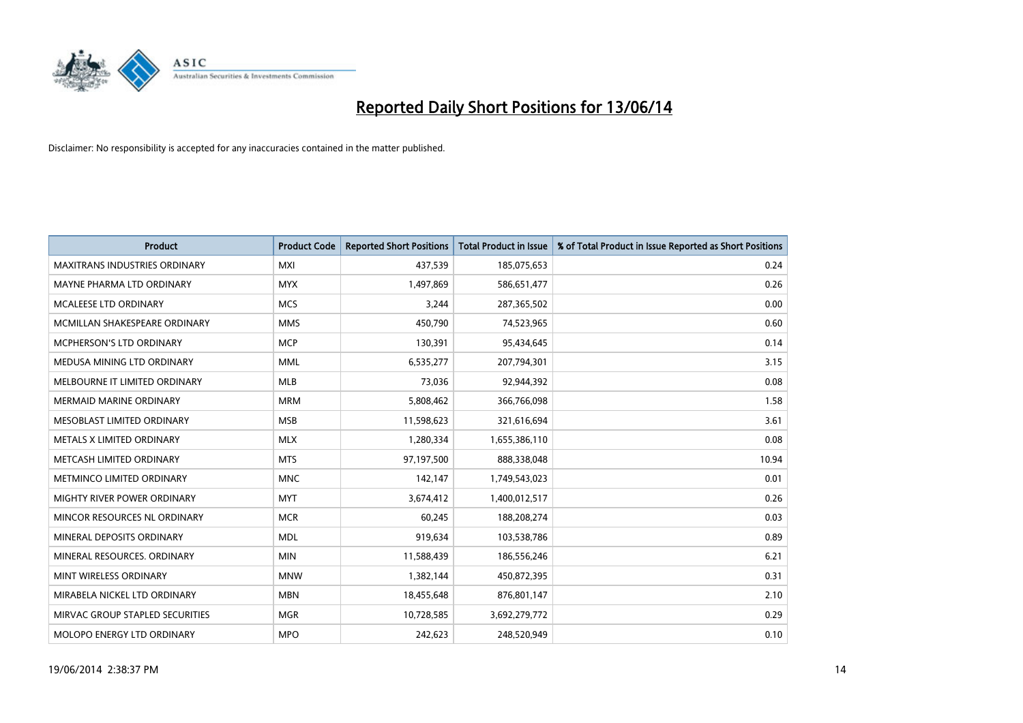

| <b>Product</b>                       | <b>Product Code</b> | <b>Reported Short Positions</b> | <b>Total Product in Issue</b> | % of Total Product in Issue Reported as Short Positions |
|--------------------------------------|---------------------|---------------------------------|-------------------------------|---------------------------------------------------------|
| <b>MAXITRANS INDUSTRIES ORDINARY</b> | <b>MXI</b>          | 437,539                         | 185,075,653                   | 0.24                                                    |
| MAYNE PHARMA LTD ORDINARY            | <b>MYX</b>          | 1,497,869                       | 586,651,477                   | 0.26                                                    |
| <b>MCALEESE LTD ORDINARY</b>         | <b>MCS</b>          | 3,244                           | 287,365,502                   | 0.00                                                    |
| MCMILLAN SHAKESPEARE ORDINARY        | <b>MMS</b>          | 450,790                         | 74,523,965                    | 0.60                                                    |
| <b>MCPHERSON'S LTD ORDINARY</b>      | <b>MCP</b>          | 130,391                         | 95,434,645                    | 0.14                                                    |
| MEDUSA MINING LTD ORDINARY           | <b>MML</b>          | 6,535,277                       | 207,794,301                   | 3.15                                                    |
| MELBOURNE IT LIMITED ORDINARY        | <b>MLB</b>          | 73,036                          | 92,944,392                    | 0.08                                                    |
| <b>MERMAID MARINE ORDINARY</b>       | <b>MRM</b>          | 5,808,462                       | 366,766,098                   | 1.58                                                    |
| MESOBLAST LIMITED ORDINARY           | <b>MSB</b>          | 11,598,623                      | 321,616,694                   | 3.61                                                    |
| METALS X LIMITED ORDINARY            | <b>MLX</b>          | 1,280,334                       | 1,655,386,110                 | 0.08                                                    |
| METCASH LIMITED ORDINARY             | <b>MTS</b>          | 97,197,500                      | 888,338,048                   | 10.94                                                   |
| METMINCO LIMITED ORDINARY            | <b>MNC</b>          | 142,147                         | 1,749,543,023                 | 0.01                                                    |
| MIGHTY RIVER POWER ORDINARY          | <b>MYT</b>          | 3,674,412                       | 1,400,012,517                 | 0.26                                                    |
| MINCOR RESOURCES NL ORDINARY         | <b>MCR</b>          | 60,245                          | 188,208,274                   | 0.03                                                    |
| MINERAL DEPOSITS ORDINARY            | <b>MDL</b>          | 919,634                         | 103,538,786                   | 0.89                                                    |
| MINERAL RESOURCES. ORDINARY          | <b>MIN</b>          | 11,588,439                      | 186,556,246                   | 6.21                                                    |
| MINT WIRELESS ORDINARY               | <b>MNW</b>          | 1,382,144                       | 450,872,395                   | 0.31                                                    |
| MIRABELA NICKEL LTD ORDINARY         | <b>MBN</b>          | 18,455,648                      | 876,801,147                   | 2.10                                                    |
| MIRVAC GROUP STAPLED SECURITIES      | <b>MGR</b>          | 10,728,585                      | 3,692,279,772                 | 0.29                                                    |
| MOLOPO ENERGY LTD ORDINARY           | <b>MPO</b>          | 242,623                         | 248,520,949                   | 0.10                                                    |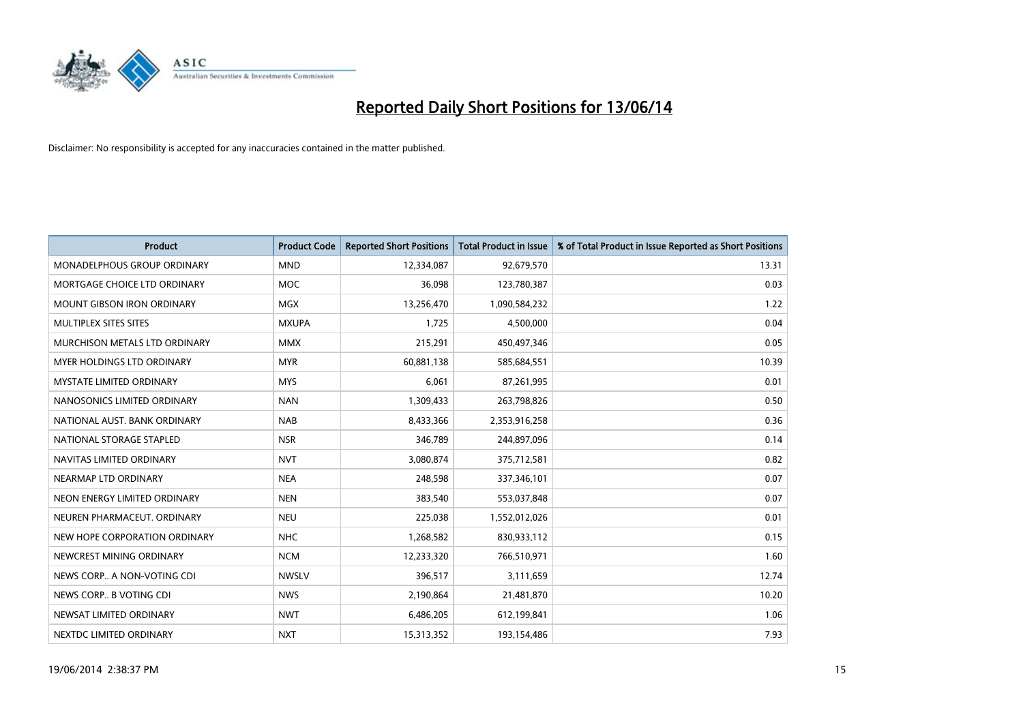

| <b>Product</b>                    | <b>Product Code</b> | <b>Reported Short Positions</b> | <b>Total Product in Issue</b> | % of Total Product in Issue Reported as Short Positions |
|-----------------------------------|---------------------|---------------------------------|-------------------------------|---------------------------------------------------------|
| MONADELPHOUS GROUP ORDINARY       | <b>MND</b>          | 12,334,087                      | 92,679,570                    | 13.31                                                   |
| MORTGAGE CHOICE LTD ORDINARY      | <b>MOC</b>          | 36,098                          | 123,780,387                   | 0.03                                                    |
| <b>MOUNT GIBSON IRON ORDINARY</b> | <b>MGX</b>          | 13,256,470                      | 1,090,584,232                 | 1.22                                                    |
| MULTIPLEX SITES SITES             | <b>MXUPA</b>        | 1,725                           | 4,500,000                     | 0.04                                                    |
| MURCHISON METALS LTD ORDINARY     | <b>MMX</b>          | 215,291                         | 450,497,346                   | 0.05                                                    |
| <b>MYER HOLDINGS LTD ORDINARY</b> | <b>MYR</b>          | 60,881,138                      | 585,684,551                   | 10.39                                                   |
| <b>MYSTATE LIMITED ORDINARY</b>   | <b>MYS</b>          | 6,061                           | 87,261,995                    | 0.01                                                    |
| NANOSONICS LIMITED ORDINARY       | <b>NAN</b>          | 1,309,433                       | 263,798,826                   | 0.50                                                    |
| NATIONAL AUST, BANK ORDINARY      | <b>NAB</b>          | 8,433,366                       | 2,353,916,258                 | 0.36                                                    |
| NATIONAL STORAGE STAPLED          | <b>NSR</b>          | 346,789                         | 244,897,096                   | 0.14                                                    |
| NAVITAS LIMITED ORDINARY          | <b>NVT</b>          | 3,080,874                       | 375,712,581                   | 0.82                                                    |
| NEARMAP LTD ORDINARY              | <b>NEA</b>          | 248,598                         | 337,346,101                   | 0.07                                                    |
| NEON ENERGY LIMITED ORDINARY      | <b>NEN</b>          | 383,540                         | 553,037,848                   | 0.07                                                    |
| NEUREN PHARMACEUT, ORDINARY       | <b>NEU</b>          | 225,038                         | 1,552,012,026                 | 0.01                                                    |
| NEW HOPE CORPORATION ORDINARY     | <b>NHC</b>          | 1,268,582                       | 830,933,112                   | 0.15                                                    |
| NEWCREST MINING ORDINARY          | <b>NCM</b>          | 12,233,320                      | 766,510,971                   | 1.60                                                    |
| NEWS CORP A NON-VOTING CDI        | <b>NWSLV</b>        | 396,517                         | 3,111,659                     | 12.74                                                   |
| NEWS CORP B VOTING CDI            | <b>NWS</b>          | 2,190,864                       | 21,481,870                    | 10.20                                                   |
| NEWSAT LIMITED ORDINARY           | <b>NWT</b>          | 6,486,205                       | 612,199,841                   | 1.06                                                    |
| NEXTDC LIMITED ORDINARY           | <b>NXT</b>          | 15,313,352                      | 193,154,486                   | 7.93                                                    |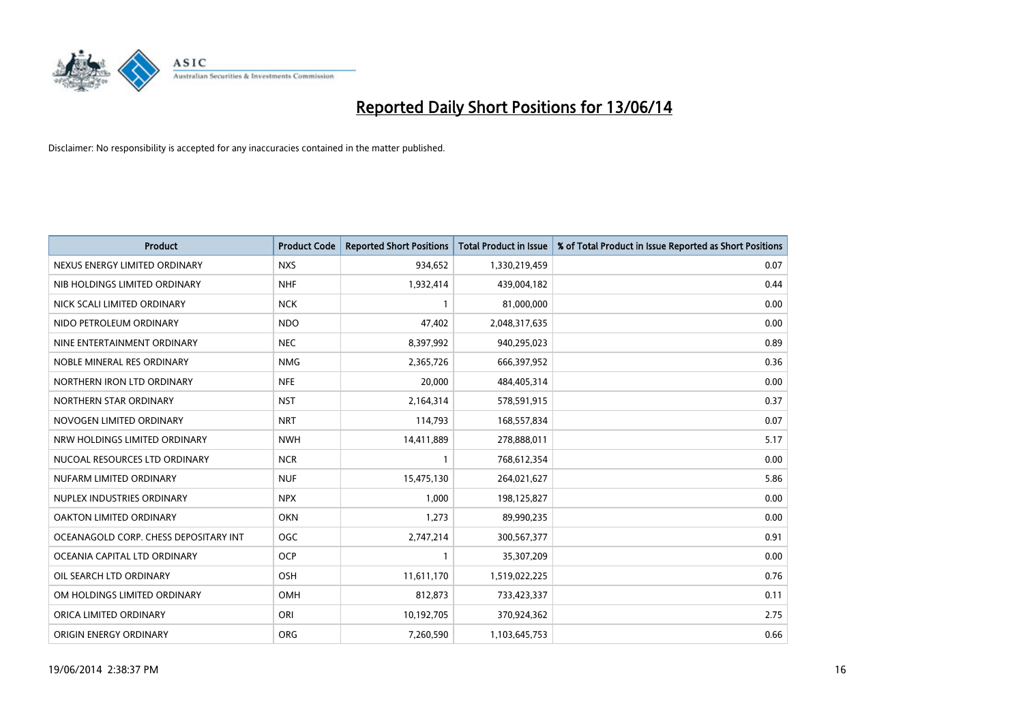

| <b>Product</b>                        | <b>Product Code</b> | <b>Reported Short Positions</b> | <b>Total Product in Issue</b> | % of Total Product in Issue Reported as Short Positions |
|---------------------------------------|---------------------|---------------------------------|-------------------------------|---------------------------------------------------------|
| NEXUS ENERGY LIMITED ORDINARY         | <b>NXS</b>          | 934,652                         | 1,330,219,459                 | 0.07                                                    |
| NIB HOLDINGS LIMITED ORDINARY         | <b>NHF</b>          | 1,932,414                       | 439,004,182                   | 0.44                                                    |
| NICK SCALI LIMITED ORDINARY           | <b>NCK</b>          | $\mathbf{1}$                    | 81,000,000                    | 0.00                                                    |
| NIDO PETROLEUM ORDINARY               | <b>NDO</b>          | 47,402                          | 2,048,317,635                 | 0.00                                                    |
| NINE ENTERTAINMENT ORDINARY           | <b>NEC</b>          | 8,397,992                       | 940,295,023                   | 0.89                                                    |
| NOBLE MINERAL RES ORDINARY            | <b>NMG</b>          | 2,365,726                       | 666,397,952                   | 0.36                                                    |
| NORTHERN IRON LTD ORDINARY            | <b>NFE</b>          | 20,000                          | 484,405,314                   | 0.00                                                    |
| NORTHERN STAR ORDINARY                | <b>NST</b>          | 2,164,314                       | 578,591,915                   | 0.37                                                    |
| NOVOGEN LIMITED ORDINARY              | <b>NRT</b>          | 114,793                         | 168,557,834                   | 0.07                                                    |
| NRW HOLDINGS LIMITED ORDINARY         | <b>NWH</b>          | 14,411,889                      | 278,888,011                   | 5.17                                                    |
| NUCOAL RESOURCES LTD ORDINARY         | <b>NCR</b>          |                                 | 768,612,354                   | 0.00                                                    |
| NUFARM LIMITED ORDINARY               | <b>NUF</b>          | 15,475,130                      | 264,021,627                   | 5.86                                                    |
| NUPLEX INDUSTRIES ORDINARY            | <b>NPX</b>          | 1,000                           | 198,125,827                   | 0.00                                                    |
| OAKTON LIMITED ORDINARY               | <b>OKN</b>          | 1,273                           | 89,990,235                    | 0.00                                                    |
| OCEANAGOLD CORP. CHESS DEPOSITARY INT | <b>OGC</b>          | 2,747,214                       | 300,567,377                   | 0.91                                                    |
| OCEANIA CAPITAL LTD ORDINARY          | <b>OCP</b>          | -1                              | 35,307,209                    | 0.00                                                    |
| OIL SEARCH LTD ORDINARY               | OSH                 | 11,611,170                      | 1,519,022,225                 | 0.76                                                    |
| OM HOLDINGS LIMITED ORDINARY          | OMH                 | 812,873                         | 733,423,337                   | 0.11                                                    |
| ORICA LIMITED ORDINARY                | ORI                 | 10,192,705                      | 370,924,362                   | 2.75                                                    |
| ORIGIN ENERGY ORDINARY                | <b>ORG</b>          | 7,260,590                       | 1,103,645,753                 | 0.66                                                    |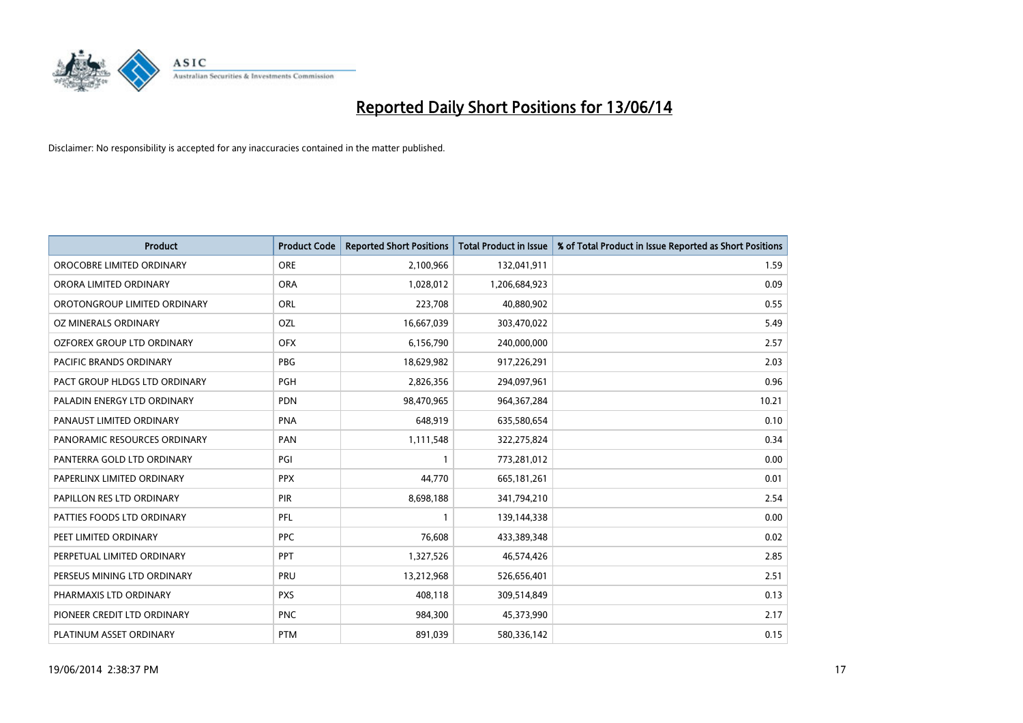

| <b>Product</b>                    | <b>Product Code</b> | <b>Reported Short Positions</b> | <b>Total Product in Issue</b> | % of Total Product in Issue Reported as Short Positions |
|-----------------------------------|---------------------|---------------------------------|-------------------------------|---------------------------------------------------------|
| OROCOBRE LIMITED ORDINARY         | <b>ORE</b>          | 2,100,966                       | 132,041,911                   | 1.59                                                    |
| ORORA LIMITED ORDINARY            | <b>ORA</b>          | 1,028,012                       | 1,206,684,923                 | 0.09                                                    |
| OROTONGROUP LIMITED ORDINARY      | ORL                 | 223,708                         | 40,880,902                    | 0.55                                                    |
| OZ MINERALS ORDINARY              | OZL                 | 16,667,039                      | 303,470,022                   | 5.49                                                    |
| <b>OZFOREX GROUP LTD ORDINARY</b> | <b>OFX</b>          | 6,156,790                       | 240,000,000                   | 2.57                                                    |
| <b>PACIFIC BRANDS ORDINARY</b>    | <b>PBG</b>          | 18,629,982                      | 917,226,291                   | 2.03                                                    |
| PACT GROUP HLDGS LTD ORDINARY     | PGH                 | 2,826,356                       | 294,097,961                   | 0.96                                                    |
| PALADIN ENERGY LTD ORDINARY       | <b>PDN</b>          | 98,470,965                      | 964,367,284                   | 10.21                                                   |
| PANAUST LIMITED ORDINARY          | <b>PNA</b>          | 648,919                         | 635,580,654                   | 0.10                                                    |
| PANORAMIC RESOURCES ORDINARY      | PAN                 | 1,111,548                       | 322,275,824                   | 0.34                                                    |
| PANTERRA GOLD LTD ORDINARY        | PGI                 | 1                               | 773,281,012                   | 0.00                                                    |
| PAPERLINX LIMITED ORDINARY        | <b>PPX</b>          | 44,770                          | 665, 181, 261                 | 0.01                                                    |
| PAPILLON RES LTD ORDINARY         | PIR                 | 8,698,188                       | 341,794,210                   | 2.54                                                    |
| PATTIES FOODS LTD ORDINARY        | PFL                 | 1                               | 139,144,338                   | 0.00                                                    |
| PEET LIMITED ORDINARY             | <b>PPC</b>          | 76,608                          | 433,389,348                   | 0.02                                                    |
| PERPETUAL LIMITED ORDINARY        | <b>PPT</b>          | 1,327,526                       | 46,574,426                    | 2.85                                                    |
| PERSEUS MINING LTD ORDINARY       | PRU                 | 13,212,968                      | 526,656,401                   | 2.51                                                    |
| PHARMAXIS LTD ORDINARY            | <b>PXS</b>          | 408,118                         | 309,514,849                   | 0.13                                                    |
| PIONEER CREDIT LTD ORDINARY       | <b>PNC</b>          | 984,300                         | 45,373,990                    | 2.17                                                    |
| PLATINUM ASSET ORDINARY           | <b>PTM</b>          | 891,039                         | 580,336,142                   | 0.15                                                    |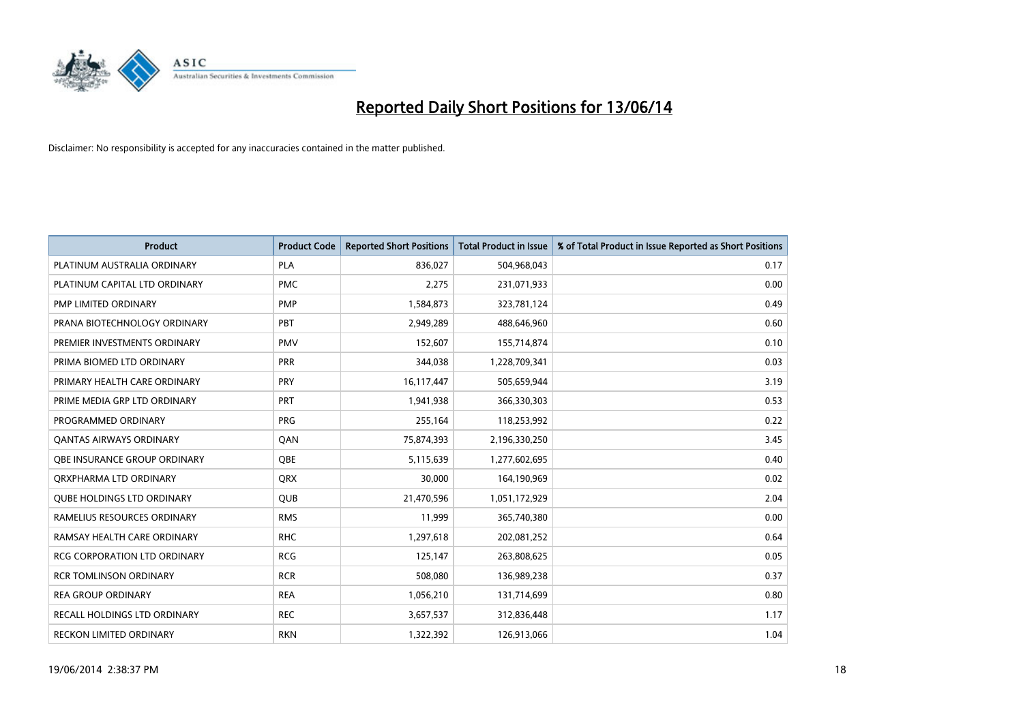

| <b>Product</b>                      | <b>Product Code</b> | <b>Reported Short Positions</b> | <b>Total Product in Issue</b> | % of Total Product in Issue Reported as Short Positions |
|-------------------------------------|---------------------|---------------------------------|-------------------------------|---------------------------------------------------------|
| PLATINUM AUSTRALIA ORDINARY         | <b>PLA</b>          | 836,027                         | 504,968,043                   | 0.17                                                    |
| PLATINUM CAPITAL LTD ORDINARY       | <b>PMC</b>          | 2,275                           | 231,071,933                   | 0.00                                                    |
| PMP LIMITED ORDINARY                | <b>PMP</b>          | 1,584,873                       | 323,781,124                   | 0.49                                                    |
| PRANA BIOTECHNOLOGY ORDINARY        | PBT                 | 2,949,289                       | 488,646,960                   | 0.60                                                    |
| PREMIER INVESTMENTS ORDINARY        | <b>PMV</b>          | 152,607                         | 155,714,874                   | 0.10                                                    |
| PRIMA BIOMED LTD ORDINARY           | PRR                 | 344,038                         | 1,228,709,341                 | 0.03                                                    |
| PRIMARY HEALTH CARE ORDINARY        | <b>PRY</b>          | 16,117,447                      | 505,659,944                   | 3.19                                                    |
| PRIME MEDIA GRP LTD ORDINARY        | <b>PRT</b>          | 1,941,938                       | 366,330,303                   | 0.53                                                    |
| PROGRAMMED ORDINARY                 | <b>PRG</b>          | 255,164                         | 118,253,992                   | 0.22                                                    |
| OANTAS AIRWAYS ORDINARY             | QAN                 | 75,874,393                      | 2,196,330,250                 | 3.45                                                    |
| <b>OBE INSURANCE GROUP ORDINARY</b> | <b>OBE</b>          | 5,115,639                       | 1,277,602,695                 | 0.40                                                    |
| ORXPHARMA LTD ORDINARY              | <b>QRX</b>          | 30,000                          | 164,190,969                   | 0.02                                                    |
| <b>QUBE HOLDINGS LTD ORDINARY</b>   | <b>QUB</b>          | 21,470,596                      | 1,051,172,929                 | 2.04                                                    |
| RAMELIUS RESOURCES ORDINARY         | <b>RMS</b>          | 11,999                          | 365,740,380                   | 0.00                                                    |
| RAMSAY HEALTH CARE ORDINARY         | <b>RHC</b>          | 1,297,618                       | 202,081,252                   | 0.64                                                    |
| RCG CORPORATION LTD ORDINARY        | <b>RCG</b>          | 125,147                         | 263,808,625                   | 0.05                                                    |
| <b>RCR TOMLINSON ORDINARY</b>       | <b>RCR</b>          | 508,080                         | 136,989,238                   | 0.37                                                    |
| <b>REA GROUP ORDINARY</b>           | <b>REA</b>          | 1,056,210                       | 131,714,699                   | 0.80                                                    |
| RECALL HOLDINGS LTD ORDINARY        | <b>REC</b>          | 3,657,537                       | 312,836,448                   | 1.17                                                    |
| RECKON LIMITED ORDINARY             | <b>RKN</b>          | 1,322,392                       | 126,913,066                   | 1.04                                                    |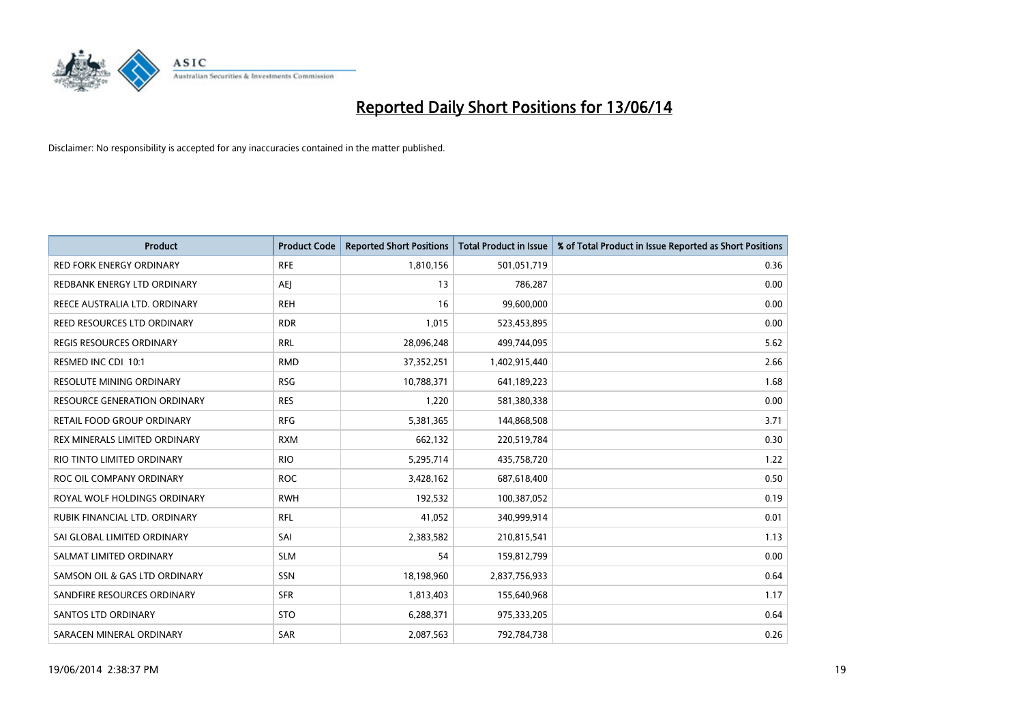

| <b>Product</b>                    | <b>Product Code</b> | <b>Reported Short Positions</b> | <b>Total Product in Issue</b> | % of Total Product in Issue Reported as Short Positions |
|-----------------------------------|---------------------|---------------------------------|-------------------------------|---------------------------------------------------------|
| <b>RED FORK ENERGY ORDINARY</b>   | <b>RFE</b>          | 1,810,156                       | 501,051,719                   | 0.36                                                    |
| REDBANK ENERGY LTD ORDINARY       | AEJ                 | 13                              | 786,287                       | 0.00                                                    |
| REECE AUSTRALIA LTD. ORDINARY     | <b>REH</b>          | 16                              | 99,600,000                    | 0.00                                                    |
| REED RESOURCES LTD ORDINARY       | <b>RDR</b>          | 1,015                           | 523,453,895                   | 0.00                                                    |
| <b>REGIS RESOURCES ORDINARY</b>   | <b>RRL</b>          | 28,096,248                      | 499,744,095                   | 5.62                                                    |
| RESMED INC CDI 10:1               | <b>RMD</b>          | 37,352,251                      | 1,402,915,440                 | 2.66                                                    |
| <b>RESOLUTE MINING ORDINARY</b>   | <b>RSG</b>          | 10,788,371                      | 641,189,223                   | 1.68                                                    |
| RESOURCE GENERATION ORDINARY      | <b>RES</b>          | 1,220                           | 581,380,338                   | 0.00                                                    |
| <b>RETAIL FOOD GROUP ORDINARY</b> | <b>RFG</b>          | 5,381,365                       | 144,868,508                   | 3.71                                                    |
| REX MINERALS LIMITED ORDINARY     | <b>RXM</b>          | 662,132                         | 220,519,784                   | 0.30                                                    |
| RIO TINTO LIMITED ORDINARY        | <b>RIO</b>          | 5,295,714                       | 435,758,720                   | 1.22                                                    |
| ROC OIL COMPANY ORDINARY          | <b>ROC</b>          | 3,428,162                       | 687,618,400                   | 0.50                                                    |
| ROYAL WOLF HOLDINGS ORDINARY      | <b>RWH</b>          | 192,532                         | 100,387,052                   | 0.19                                                    |
| RUBIK FINANCIAL LTD. ORDINARY     | <b>RFL</b>          | 41,052                          | 340,999,914                   | 0.01                                                    |
| SAI GLOBAL LIMITED ORDINARY       | SAI                 | 2,383,582                       | 210,815,541                   | 1.13                                                    |
| SALMAT LIMITED ORDINARY           | <b>SLM</b>          | 54                              | 159,812,799                   | 0.00                                                    |
| SAMSON OIL & GAS LTD ORDINARY     | SSN                 | 18,198,960                      | 2,837,756,933                 | 0.64                                                    |
| SANDFIRE RESOURCES ORDINARY       | <b>SFR</b>          | 1,813,403                       | 155,640,968                   | 1.17                                                    |
| SANTOS LTD ORDINARY               | <b>STO</b>          | 6,288,371                       | 975,333,205                   | 0.64                                                    |
| SARACEN MINERAL ORDINARY          | SAR                 | 2,087,563                       | 792,784,738                   | 0.26                                                    |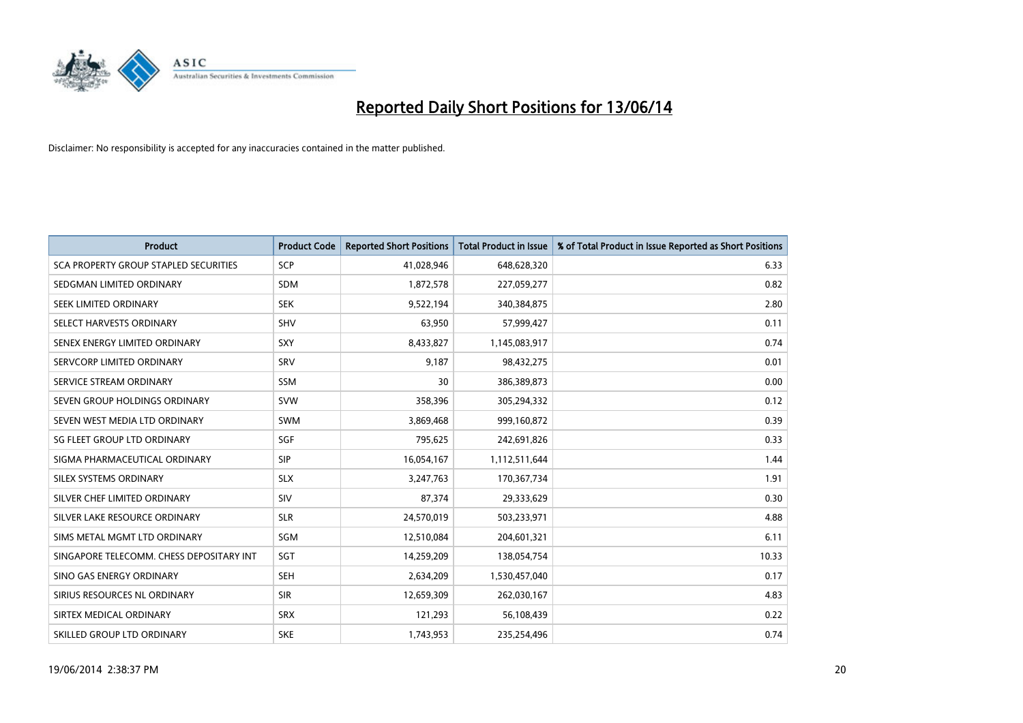

| Product                                  | <b>Product Code</b> | <b>Reported Short Positions</b> | <b>Total Product in Issue</b> | % of Total Product in Issue Reported as Short Positions |
|------------------------------------------|---------------------|---------------------------------|-------------------------------|---------------------------------------------------------|
| SCA PROPERTY GROUP STAPLED SECURITIES    | <b>SCP</b>          | 41,028,946                      | 648,628,320                   | 6.33                                                    |
| SEDGMAN LIMITED ORDINARY                 | SDM                 | 1,872,578                       | 227,059,277                   | 0.82                                                    |
| SEEK LIMITED ORDINARY                    | <b>SEK</b>          | 9,522,194                       | 340,384,875                   | 2.80                                                    |
| SELECT HARVESTS ORDINARY                 | <b>SHV</b>          | 63,950                          | 57,999,427                    | 0.11                                                    |
| SENEX ENERGY LIMITED ORDINARY            | <b>SXY</b>          | 8,433,827                       | 1,145,083,917                 | 0.74                                                    |
| SERVCORP LIMITED ORDINARY                | SRV                 | 9,187                           | 98,432,275                    | 0.01                                                    |
| SERVICE STREAM ORDINARY                  | <b>SSM</b>          | 30                              | 386,389,873                   | 0.00                                                    |
| SEVEN GROUP HOLDINGS ORDINARY            | <b>SVW</b>          | 358,396                         | 305,294,332                   | 0.12                                                    |
| SEVEN WEST MEDIA LTD ORDINARY            | SWM                 | 3,869,468                       | 999,160,872                   | 0.39                                                    |
| SG FLEET GROUP LTD ORDINARY              | SGF                 | 795,625                         | 242,691,826                   | 0.33                                                    |
| SIGMA PHARMACEUTICAL ORDINARY            | <b>SIP</b>          | 16,054,167                      | 1,112,511,644                 | 1.44                                                    |
| SILEX SYSTEMS ORDINARY                   | <b>SLX</b>          | 3,247,763                       | 170,367,734                   | 1.91                                                    |
| SILVER CHEF LIMITED ORDINARY             | SIV                 | 87,374                          | 29,333,629                    | 0.30                                                    |
| SILVER LAKE RESOURCE ORDINARY            | <b>SLR</b>          | 24,570,019                      | 503,233,971                   | 4.88                                                    |
| SIMS METAL MGMT LTD ORDINARY             | SGM                 | 12,510,084                      | 204,601,321                   | 6.11                                                    |
| SINGAPORE TELECOMM. CHESS DEPOSITARY INT | SGT                 | 14,259,209                      | 138,054,754                   | 10.33                                                   |
| SINO GAS ENERGY ORDINARY                 | <b>SEH</b>          | 2,634,209                       | 1,530,457,040                 | 0.17                                                    |
| SIRIUS RESOURCES NL ORDINARY             | <b>SIR</b>          | 12,659,309                      | 262,030,167                   | 4.83                                                    |
| SIRTEX MEDICAL ORDINARY                  | <b>SRX</b>          | 121,293                         | 56,108,439                    | 0.22                                                    |
| SKILLED GROUP LTD ORDINARY               | <b>SKE</b>          | 1,743,953                       | 235,254,496                   | 0.74                                                    |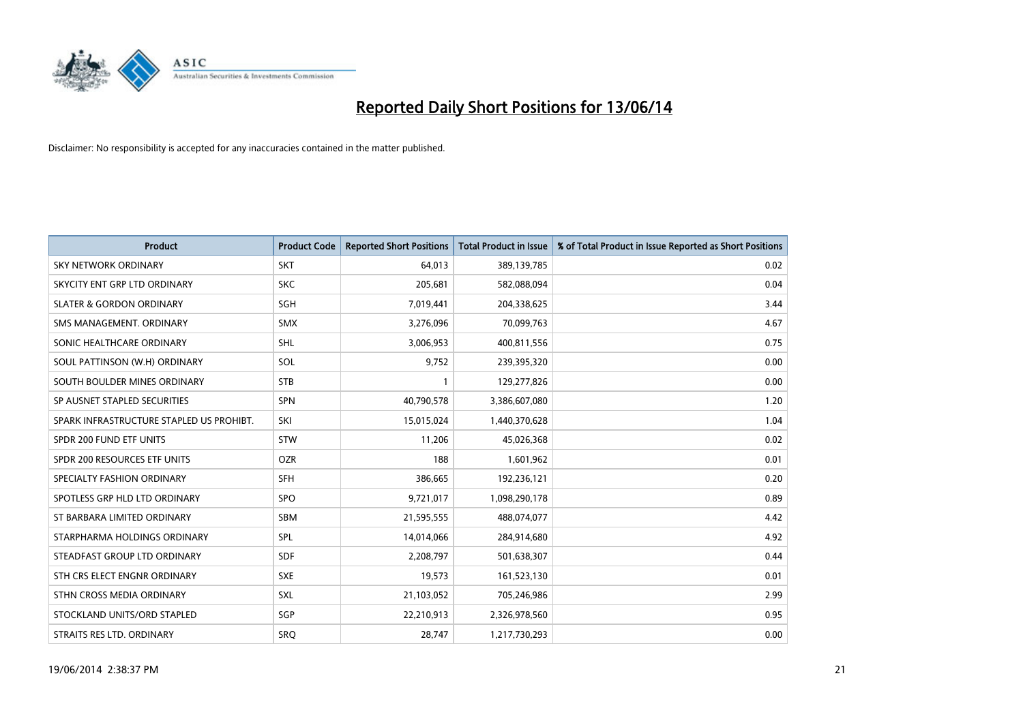

| <b>Product</b>                           | <b>Product Code</b> | <b>Reported Short Positions</b> | <b>Total Product in Issue</b> | % of Total Product in Issue Reported as Short Positions |
|------------------------------------------|---------------------|---------------------------------|-------------------------------|---------------------------------------------------------|
| <b>SKY NETWORK ORDINARY</b>              | <b>SKT</b>          | 64,013                          | 389,139,785                   | 0.02                                                    |
| SKYCITY ENT GRP LTD ORDINARY             | <b>SKC</b>          | 205,681                         | 582,088,094                   | 0.04                                                    |
| <b>SLATER &amp; GORDON ORDINARY</b>      | SGH                 | 7,019,441                       | 204,338,625                   | 3.44                                                    |
| SMS MANAGEMENT. ORDINARY                 | <b>SMX</b>          | 3,276,096                       | 70,099,763                    | 4.67                                                    |
| SONIC HEALTHCARE ORDINARY                | SHL                 | 3,006,953                       | 400,811,556                   | 0.75                                                    |
| SOUL PATTINSON (W.H) ORDINARY            | SOL                 | 9,752                           | 239,395,320                   | 0.00                                                    |
| SOUTH BOULDER MINES ORDINARY             | <b>STB</b>          |                                 | 129,277,826                   | 0.00                                                    |
| SP AUSNET STAPLED SECURITIES             | SPN                 | 40,790,578                      | 3,386,607,080                 | 1.20                                                    |
| SPARK INFRASTRUCTURE STAPLED US PROHIBT. | SKI                 | 15,015,024                      | 1,440,370,628                 | 1.04                                                    |
| SPDR 200 FUND ETF UNITS                  | <b>STW</b>          | 11,206                          | 45,026,368                    | 0.02                                                    |
| SPDR 200 RESOURCES ETF UNITS             | <b>OZR</b>          | 188                             | 1,601,962                     | 0.01                                                    |
| SPECIALTY FASHION ORDINARY               | <b>SFH</b>          | 386,665                         | 192,236,121                   | 0.20                                                    |
| SPOTLESS GRP HLD LTD ORDINARY            | <b>SPO</b>          | 9,721,017                       | 1,098,290,178                 | 0.89                                                    |
| ST BARBARA LIMITED ORDINARY              | SBM                 | 21,595,555                      | 488,074,077                   | 4.42                                                    |
| STARPHARMA HOLDINGS ORDINARY             | SPL                 | 14,014,066                      | 284,914,680                   | 4.92                                                    |
| STEADFAST GROUP LTD ORDINARY             | SDF                 | 2,208,797                       | 501,638,307                   | 0.44                                                    |
| STH CRS ELECT ENGNR ORDINARY             | <b>SXE</b>          | 19,573                          | 161,523,130                   | 0.01                                                    |
| STHN CROSS MEDIA ORDINARY                | <b>SXL</b>          | 21,103,052                      | 705,246,986                   | 2.99                                                    |
| STOCKLAND UNITS/ORD STAPLED              | SGP                 | 22,210,913                      | 2,326,978,560                 | 0.95                                                    |
| STRAITS RES LTD. ORDINARY                | <b>SRO</b>          | 28,747                          | 1,217,730,293                 | 0.00                                                    |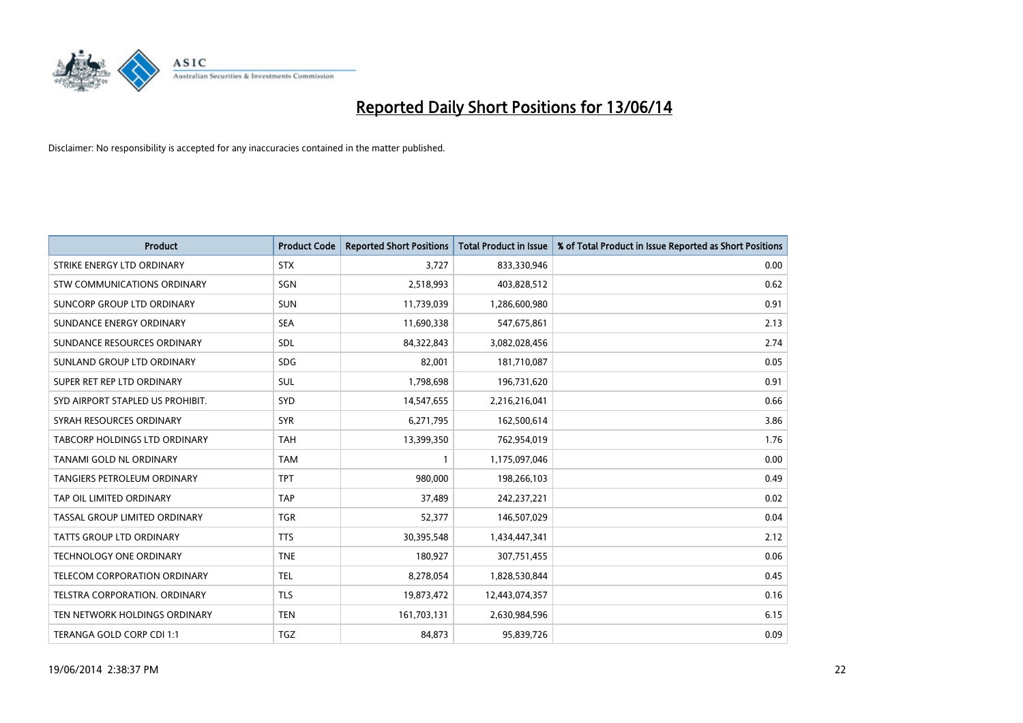

| <b>Product</b>                     | <b>Product Code</b> | <b>Reported Short Positions</b> | Total Product in Issue | % of Total Product in Issue Reported as Short Positions |
|------------------------------------|---------------------|---------------------------------|------------------------|---------------------------------------------------------|
| STRIKE ENERGY LTD ORDINARY         | <b>STX</b>          | 3,727                           | 833,330,946            | 0.00                                                    |
| STW COMMUNICATIONS ORDINARY        | SGN                 | 2,518,993                       | 403,828,512            | 0.62                                                    |
| SUNCORP GROUP LTD ORDINARY         | <b>SUN</b>          | 11,739,039                      | 1,286,600,980          | 0.91                                                    |
| SUNDANCE ENERGY ORDINARY           | <b>SEA</b>          | 11,690,338                      | 547,675,861            | 2.13                                                    |
| SUNDANCE RESOURCES ORDINARY        | <b>SDL</b>          | 84,322,843                      | 3,082,028,456          | 2.74                                                    |
| SUNLAND GROUP LTD ORDINARY         | <b>SDG</b>          | 82,001                          | 181,710,087            | 0.05                                                    |
| SUPER RET REP LTD ORDINARY         | SUL                 | 1,798,698                       | 196,731,620            | 0.91                                                    |
| SYD AIRPORT STAPLED US PROHIBIT.   | <b>SYD</b>          | 14,547,655                      | 2,216,216,041          | 0.66                                                    |
| SYRAH RESOURCES ORDINARY           | <b>SYR</b>          | 6,271,795                       | 162,500,614            | 3.86                                                    |
| TABCORP HOLDINGS LTD ORDINARY      | <b>TAH</b>          | 13,399,350                      | 762,954,019            | 1.76                                                    |
| TANAMI GOLD NL ORDINARY            | <b>TAM</b>          | 1                               | 1,175,097,046          | 0.00                                                    |
| <b>TANGIERS PETROLEUM ORDINARY</b> | <b>TPT</b>          | 980,000                         | 198,266,103            | 0.49                                                    |
| TAP OIL LIMITED ORDINARY           | <b>TAP</b>          | 37,489                          | 242,237,221            | 0.02                                                    |
| TASSAL GROUP LIMITED ORDINARY      | <b>TGR</b>          | 52,377                          | 146,507,029            | 0.04                                                    |
| <b>TATTS GROUP LTD ORDINARY</b>    | <b>TTS</b>          | 30,395,548                      | 1,434,447,341          | 2.12                                                    |
| TECHNOLOGY ONE ORDINARY            | <b>TNE</b>          | 180,927                         | 307,751,455            | 0.06                                                    |
| TELECOM CORPORATION ORDINARY       | <b>TEL</b>          | 8,278,054                       | 1,828,530,844          | 0.45                                                    |
| TELSTRA CORPORATION. ORDINARY      | <b>TLS</b>          | 19,873,472                      | 12,443,074,357         | 0.16                                                    |
| TEN NETWORK HOLDINGS ORDINARY      | <b>TEN</b>          | 161,703,131                     | 2,630,984,596          | 6.15                                                    |
| TERANGA GOLD CORP CDI 1:1          | TGZ                 | 84,873                          | 95,839,726             | 0.09                                                    |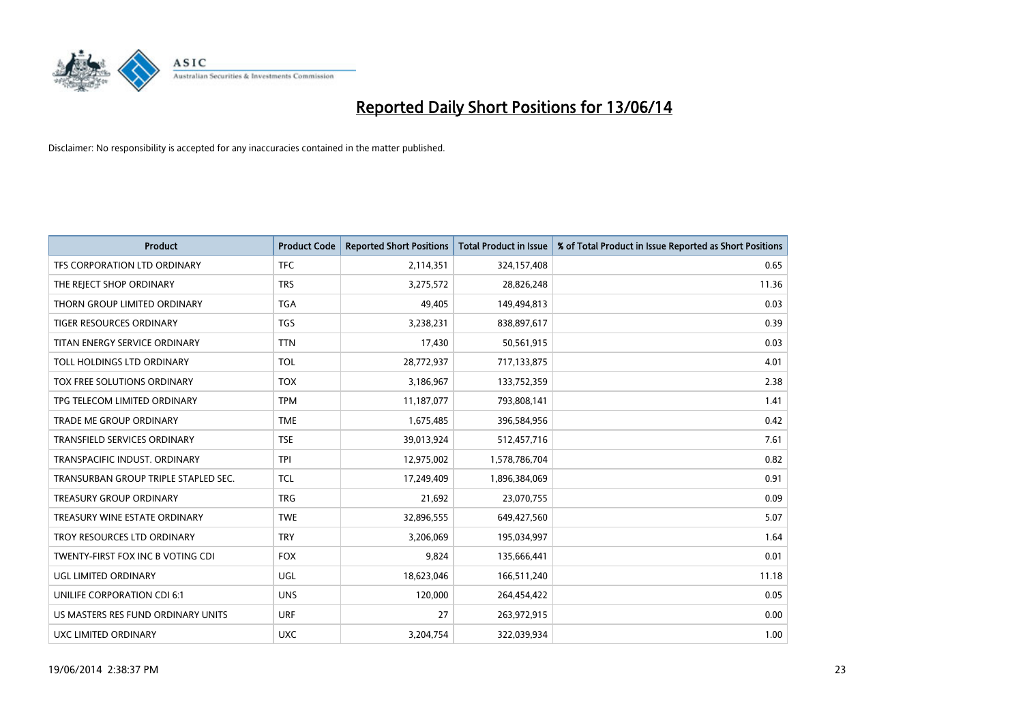

| Product                              | <b>Product Code</b> | <b>Reported Short Positions</b> | <b>Total Product in Issue</b> | % of Total Product in Issue Reported as Short Positions |
|--------------------------------------|---------------------|---------------------------------|-------------------------------|---------------------------------------------------------|
| TFS CORPORATION LTD ORDINARY         | <b>TFC</b>          | 2,114,351                       | 324,157,408                   | 0.65                                                    |
| THE REJECT SHOP ORDINARY             | <b>TRS</b>          | 3,275,572                       | 28,826,248                    | 11.36                                                   |
| THORN GROUP LIMITED ORDINARY         | <b>TGA</b>          | 49,405                          | 149,494,813                   | 0.03                                                    |
| TIGER RESOURCES ORDINARY             | <b>TGS</b>          | 3,238,231                       | 838,897,617                   | 0.39                                                    |
| TITAN ENERGY SERVICE ORDINARY        | <b>TTN</b>          | 17,430                          | 50,561,915                    | 0.03                                                    |
| TOLL HOLDINGS LTD ORDINARY           | <b>TOL</b>          | 28,772,937                      | 717,133,875                   | 4.01                                                    |
| TOX FREE SOLUTIONS ORDINARY          | <b>TOX</b>          | 3,186,967                       | 133,752,359                   | 2.38                                                    |
| TPG TELECOM LIMITED ORDINARY         | <b>TPM</b>          | 11,187,077                      | 793,808,141                   | 1.41                                                    |
| <b>TRADE ME GROUP ORDINARY</b>       | <b>TME</b>          | 1,675,485                       | 396,584,956                   | 0.42                                                    |
| <b>TRANSFIELD SERVICES ORDINARY</b>  | <b>TSE</b>          | 39,013,924                      | 512,457,716                   | 7.61                                                    |
| TRANSPACIFIC INDUST. ORDINARY        | <b>TPI</b>          | 12,975,002                      | 1,578,786,704                 | 0.82                                                    |
| TRANSURBAN GROUP TRIPLE STAPLED SEC. | <b>TCL</b>          | 17,249,409                      | 1,896,384,069                 | 0.91                                                    |
| TREASURY GROUP ORDINARY              | <b>TRG</b>          | 21,692                          | 23,070,755                    | 0.09                                                    |
| TREASURY WINE ESTATE ORDINARY        | <b>TWE</b>          | 32,896,555                      | 649,427,560                   | 5.07                                                    |
| TROY RESOURCES LTD ORDINARY          | <b>TRY</b>          | 3,206,069                       | 195,034,997                   | 1.64                                                    |
| TWENTY-FIRST FOX INC B VOTING CDI    | <b>FOX</b>          | 9,824                           | 135,666,441                   | 0.01                                                    |
| UGL LIMITED ORDINARY                 | UGL                 | 18,623,046                      | 166,511,240                   | 11.18                                                   |
| UNILIFE CORPORATION CDI 6:1          | <b>UNS</b>          | 120,000                         | 264,454,422                   | 0.05                                                    |
| US MASTERS RES FUND ORDINARY UNITS   | <b>URF</b>          | 27                              | 263,972,915                   | 0.00                                                    |
| UXC LIMITED ORDINARY                 | <b>UXC</b>          | 3,204,754                       | 322,039,934                   | 1.00                                                    |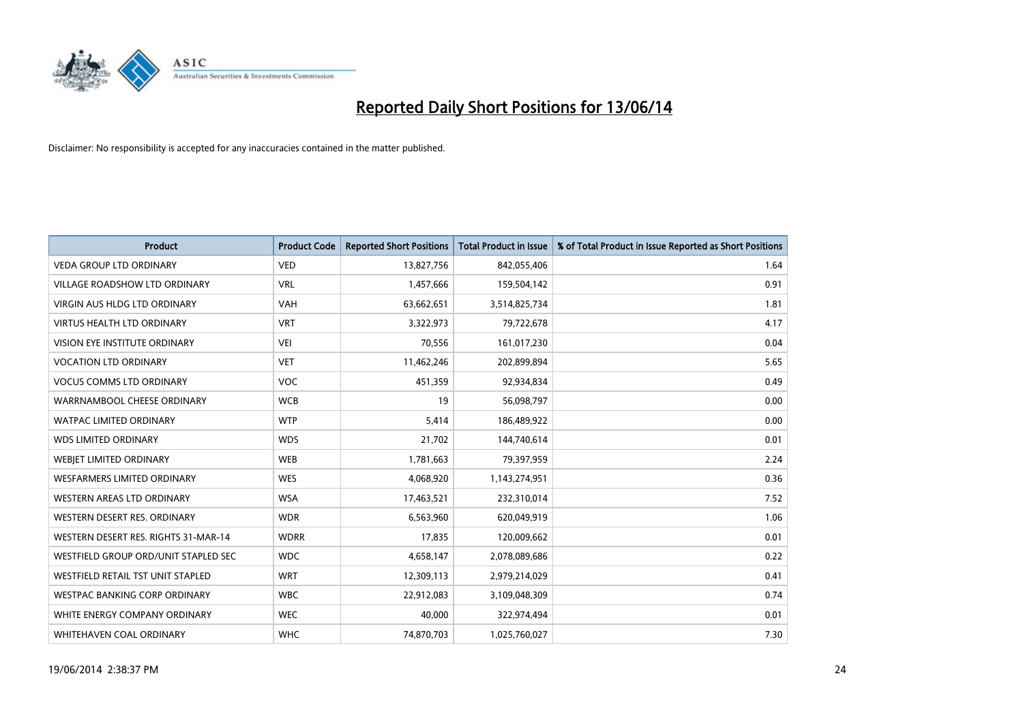

| <b>Product</b>                       | <b>Product Code</b> | <b>Reported Short Positions</b> | <b>Total Product in Issue</b> | % of Total Product in Issue Reported as Short Positions |
|--------------------------------------|---------------------|---------------------------------|-------------------------------|---------------------------------------------------------|
| <b>VEDA GROUP LTD ORDINARY</b>       | <b>VED</b>          | 13,827,756                      | 842,055,406                   | 1.64                                                    |
| <b>VILLAGE ROADSHOW LTD ORDINARY</b> | <b>VRL</b>          | 1,457,666                       | 159,504,142                   | 0.91                                                    |
| <b>VIRGIN AUS HLDG LTD ORDINARY</b>  | <b>VAH</b>          | 63,662,651                      | 3,514,825,734                 | 1.81                                                    |
| <b>VIRTUS HEALTH LTD ORDINARY</b>    | <b>VRT</b>          | 3,322,973                       | 79,722,678                    | 4.17                                                    |
| <b>VISION EYE INSTITUTE ORDINARY</b> | <b>VEI</b>          | 70,556                          | 161,017,230                   | 0.04                                                    |
| <b>VOCATION LTD ORDINARY</b>         | <b>VET</b>          | 11,462,246                      | 202,899,894                   | 5.65                                                    |
| <b>VOCUS COMMS LTD ORDINARY</b>      | VOC                 | 451,359                         | 92,934,834                    | 0.49                                                    |
| WARRNAMBOOL CHEESE ORDINARY          | <b>WCB</b>          | 19                              | 56,098,797                    | 0.00                                                    |
| <b>WATPAC LIMITED ORDINARY</b>       | <b>WTP</b>          | 5,414                           | 186,489,922                   | 0.00                                                    |
| <b>WDS LIMITED ORDINARY</b>          | <b>WDS</b>          | 21,702                          | 144,740,614                   | 0.01                                                    |
| WEBIET LIMITED ORDINARY              | <b>WEB</b>          | 1,781,663                       | 79,397,959                    | 2.24                                                    |
| <b>WESFARMERS LIMITED ORDINARY</b>   | <b>WES</b>          | 4,068,920                       | 1,143,274,951                 | 0.36                                                    |
| <b>WESTERN AREAS LTD ORDINARY</b>    | <b>WSA</b>          | 17,463,521                      | 232,310,014                   | 7.52                                                    |
| WESTERN DESERT RES. ORDINARY         | <b>WDR</b>          | 6,563,960                       | 620,049,919                   | 1.06                                                    |
| WESTERN DESERT RES. RIGHTS 31-MAR-14 | <b>WDRR</b>         | 17,835                          | 120,009,662                   | 0.01                                                    |
| WESTFIELD GROUP ORD/UNIT STAPLED SEC | <b>WDC</b>          | 4,658,147                       | 2,078,089,686                 | 0.22                                                    |
| WESTFIELD RETAIL TST UNIT STAPLED    | <b>WRT</b>          | 12,309,113                      | 2,979,214,029                 | 0.41                                                    |
| <b>WESTPAC BANKING CORP ORDINARY</b> | <b>WBC</b>          | 22,912,083                      | 3,109,048,309                 | 0.74                                                    |
| WHITE ENERGY COMPANY ORDINARY        | <b>WEC</b>          | 40,000                          | 322,974,494                   | 0.01                                                    |
| WHITEHAVEN COAL ORDINARY             | <b>WHC</b>          | 74,870,703                      | 1,025,760,027                 | 7.30                                                    |